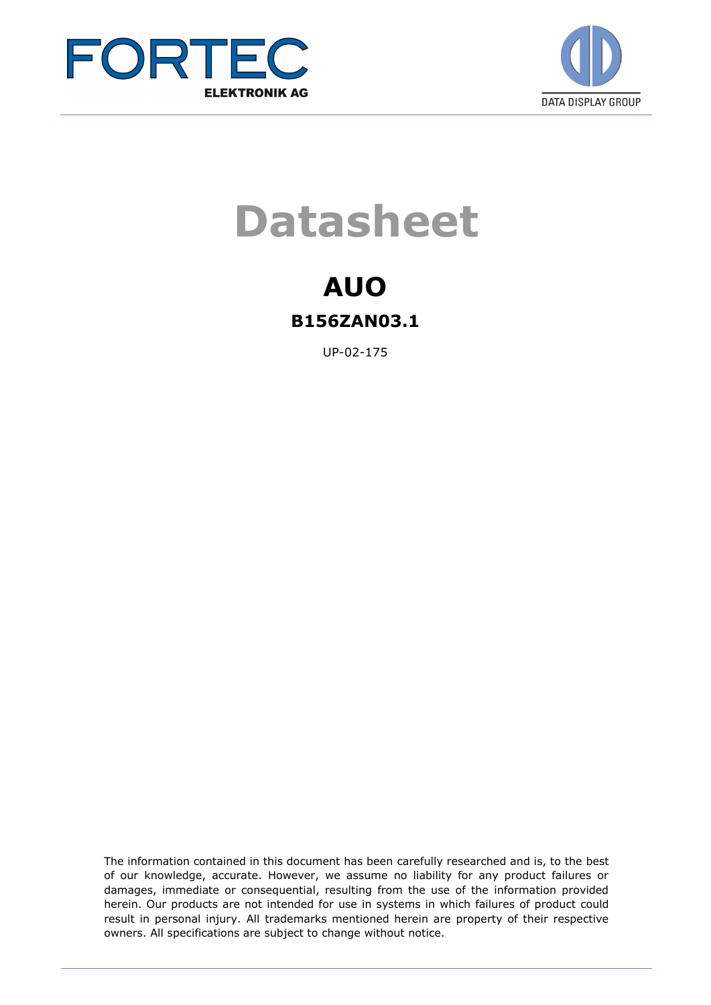



# **Datasheet**

### **AUO B156ZAN03.1**

UP-02-175

The information contained in this document has been carefully researched and is, to the best of our knowledge, accurate. However, we assume no liability for any product failures or damages, immediate or consequential, resulting from the use of the information provided herein. Our products are not intended for use in systems in which failures of product could result in personal injury. All trademarks mentioned herein are property of their respective owners. All specifications are subject to change without notice.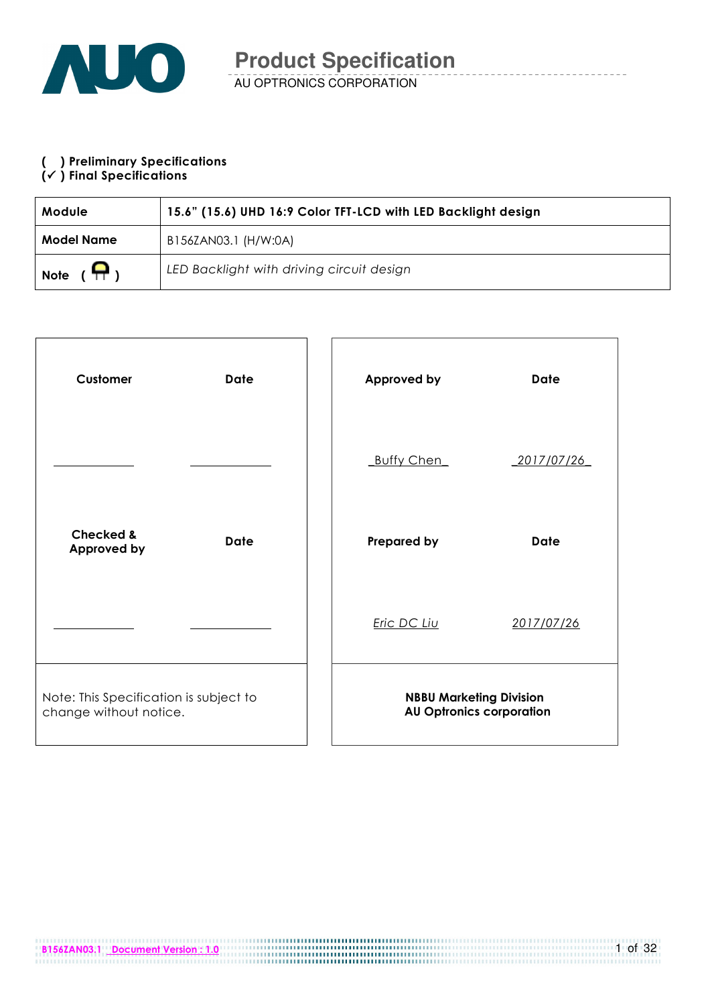

### ( ) Preliminary Specifications

#### $(\checkmark)$  Final Specifications

| <b>Module</b>                 | 15.6" (15.6) UHD 16:9 Color TFT-LCD with LED Backlight design |
|-------------------------------|---------------------------------------------------------------|
| Model Name                    | B156ZAN03.1 (H/W:0A)                                          |
| $(\mathbf{P})$<br><b>Note</b> | LED Backlight with driving circuit design                     |

| Customer                                                         | <b>Date</b> | Approved by                    | <b>Date</b>                     |
|------------------------------------------------------------------|-------------|--------------------------------|---------------------------------|
|                                                                  |             | <b>Buffy Chen</b>              | 2017/07/26                      |
| <b>Checked &amp;</b><br>Approved by                              | <b>Date</b> | <b>Prepared by</b>             | <b>Date</b>                     |
|                                                                  |             | Eric DC Liu                    | 2017/07/26                      |
| Note: This Specification is subject to<br>change without notice. |             | <b>NBBU Marketing Division</b> | <b>AU Optronics corporation</b> |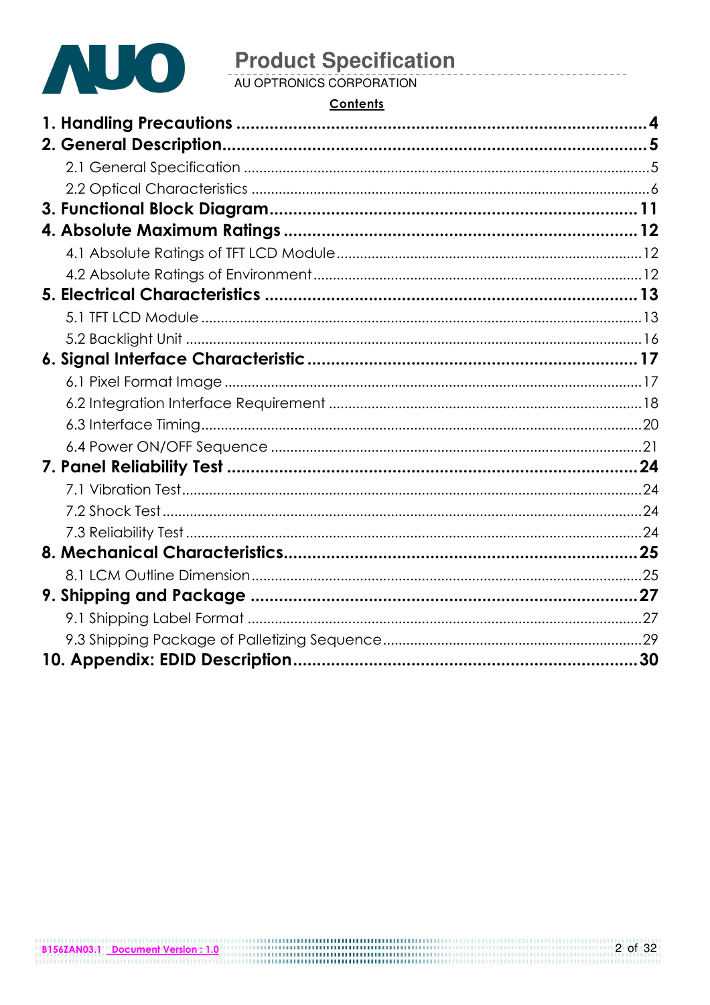

### **Contents**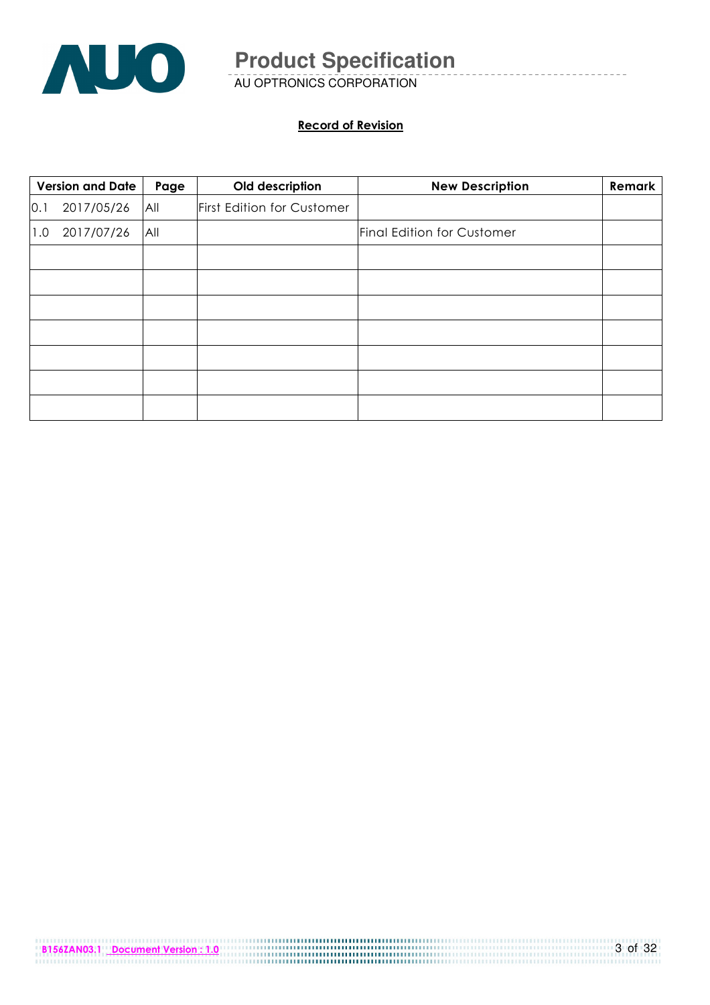

AU OPTRONICS CORPORATION

#### Record of Revision

|     | <b>Version and Date</b> | Page | Old description            | <b>New Description</b>            | Remark |
|-----|-------------------------|------|----------------------------|-----------------------------------|--------|
| 0.1 | 2017/05/26              | All  | First Edition for Customer |                                   |        |
| 1.0 | 2017/07/26              | All  |                            | <b>Final Edition for Customer</b> |        |
|     |                         |      |                            |                                   |        |
|     |                         |      |                            |                                   |        |
|     |                         |      |                            |                                   |        |
|     |                         |      |                            |                                   |        |
|     |                         |      |                            |                                   |        |
|     |                         |      |                            |                                   |        |
|     |                         |      |                            |                                   |        |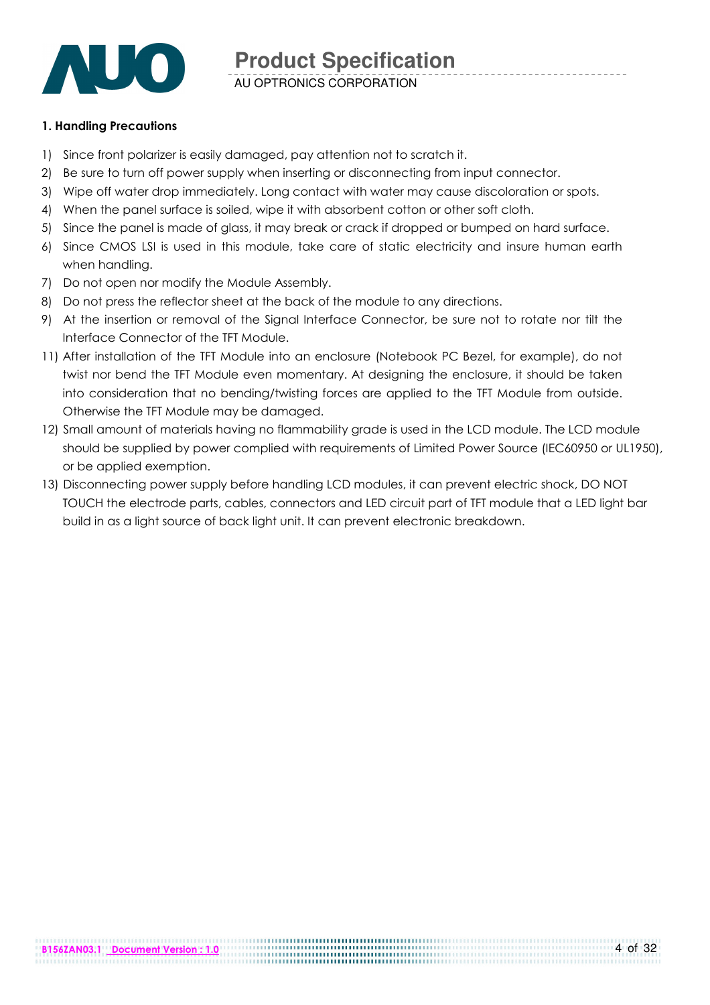

AU OPTRONICS CORPORATION

#### 1. Handling Precautions

- 1) Since front polarizer is easily damaged, pay attention not to scratch it.
- 2) Be sure to turn off power supply when inserting or disconnecting from input connector.
- 3) Wipe off water drop immediately. Long contact with water may cause discoloration or spots.
- 4) When the panel surface is soiled, wipe it with absorbent cotton or other soft cloth.
- 5) Since the panel is made of glass, it may break or crack if dropped or bumped on hard surface.
- 6) Since CMOS LSI is used in this module, take care of static electricity and insure human earth when handling.
- 7) Do not open nor modify the Module Assembly.
- 8) Do not press the reflector sheet at the back of the module to any directions.
- 9) At the insertion or removal of the Signal Interface Connector, be sure not to rotate nor tilt the Interface Connector of the TFT Module.
- 11) After installation of the TFT Module into an enclosure (Notebook PC Bezel, for example), do not twist nor bend the TFT Module even momentary. At designing the enclosure, it should be taken into consideration that no bending/twisting forces are applied to the TFT Module from outside. Otherwise the TFT Module may be damaged.
- 12) Small amount of materials having no flammability grade is used in the LCD module. The LCD module should be supplied by power complied with requirements of Limited Power Source (IEC60950 or UL1950), or be applied exemption.
- 13) Disconnecting power supply before handling LCD modules, it can prevent electric shock, DO NOT TOUCH the electrode parts, cables, connectors and LED circuit part of TFT module that a LED light bar build in as a light source of back light unit. It can prevent electronic breakdown.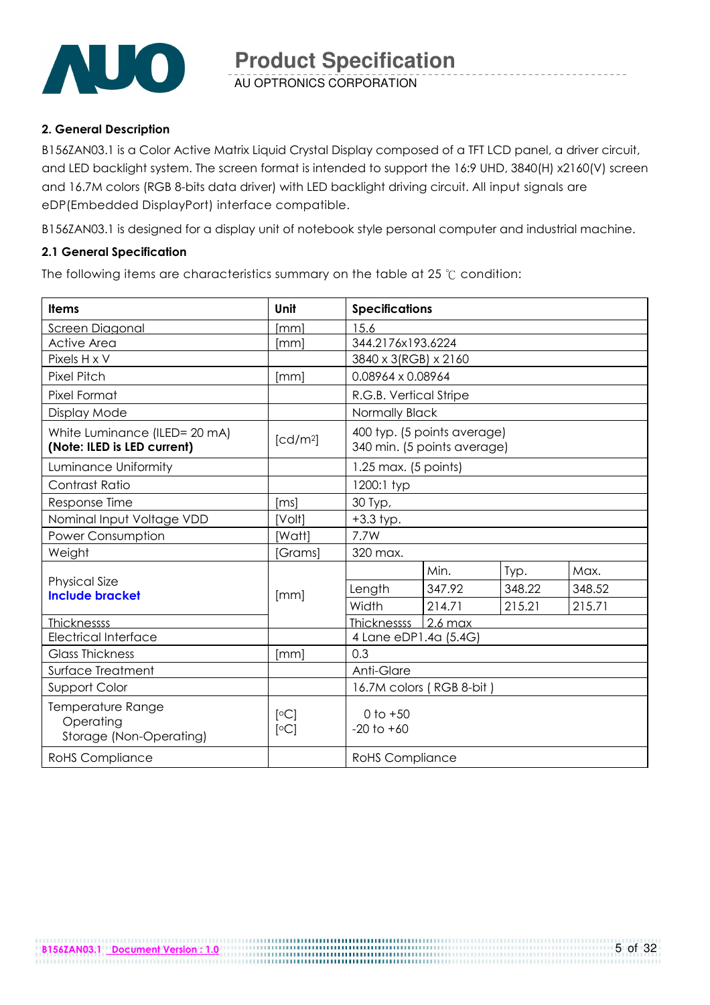

#### 2. General Description

B156ZAN03.1 is a Color Active Matrix Liquid Crystal Display composed of a TFT LCD panel, a driver circuit, and LED backlight system. The screen format is intended to support the 16:9 UHD, 3840(H) x2160(V) screen and 16.7M colors (RGB 8-bits data driver) with LED backlight driving circuit. All input signals are eDP(Embedded DisplayPort) interface compatible.

B156ZAN03.1 is designed for a display unit of notebook style personal computer and industrial machine.

#### 2.1 General Specification

The following items are characteristics summary on the table at 25 ℃ condition:

| <b>Items</b>                                                 | Unit                 | <b>Specifications</b>                                      |        |        |        |  |
|--------------------------------------------------------------|----------------------|------------------------------------------------------------|--------|--------|--------|--|
| Screen Diagonal                                              | [mm]                 | 15.6                                                       |        |        |        |  |
| <b>Active Area</b>                                           | [mm]                 | 344.2176x193.6224                                          |        |        |        |  |
| Pixels H x V                                                 |                      | 3840 x 3(RGB) x 2160                                       |        |        |        |  |
| <b>Pixel Pitch</b>                                           | [mm]                 | 0.08964 x 0.08964                                          |        |        |        |  |
| Pixel Format                                                 |                      | R.G.B. Vertical Stripe                                     |        |        |        |  |
| Display Mode                                                 |                      | Normally Black                                             |        |        |        |  |
| White Luminance (ILED= 20 mA)<br>(Note: ILED is LED current) | [cd/m <sup>2</sup> ] | 400 typ. (5 points average)<br>340 min. (5 points average) |        |        |        |  |
| Luminance Uniformity                                         |                      | $1.25$ max. (5 points)                                     |        |        |        |  |
| Contrast Ratio                                               |                      | 1200:1 typ                                                 |        |        |        |  |
| Response Time                                                | [ms]                 | 30 Typ,                                                    |        |        |        |  |
| Nominal Input Voltage VDD                                    | [Volt]               | $+3.3$ typ.                                                |        |        |        |  |
| Power Consumption                                            | [Watt]               | 7.7W                                                       |        |        |        |  |
| Weight                                                       | [Grams]              | 320 max.                                                   |        |        |        |  |
|                                                              |                      |                                                            | Min.   | Typ.   | Max.   |  |
| <b>Physical Size</b><br><b>Include bracket</b>               | [mm]                 | Length                                                     | 347.92 | 348.22 | 348.52 |  |
|                                                              |                      | Width                                                      | 214.71 | 215.21 | 215.71 |  |
| <b>Thicknessss</b>                                           |                      | Thicknessss 2.6 max                                        |        |        |        |  |
| <b>Electrical Interface</b>                                  |                      | 4 Lane eDP1.4a (5.4G)                                      |        |        |        |  |
| <b>Glass Thickness</b>                                       | [mm]                 | 0.3                                                        |        |        |        |  |
| Surface Treatment                                            |                      | Anti-Glare                                                 |        |        |        |  |
| Support Color                                                |                      | 16.7M colors (RGB 8-bit)                                   |        |        |        |  |
| Temperature Range<br>Operating<br>Storage (Non-Operating)    | [°C]<br>[°C]         | $0$ to $+50$<br>$-20$ to $+60$                             |        |        |        |  |
| <b>RoHS Compliance</b>                                       |                      | <b>RoHS</b> Compliance                                     |        |        |        |  |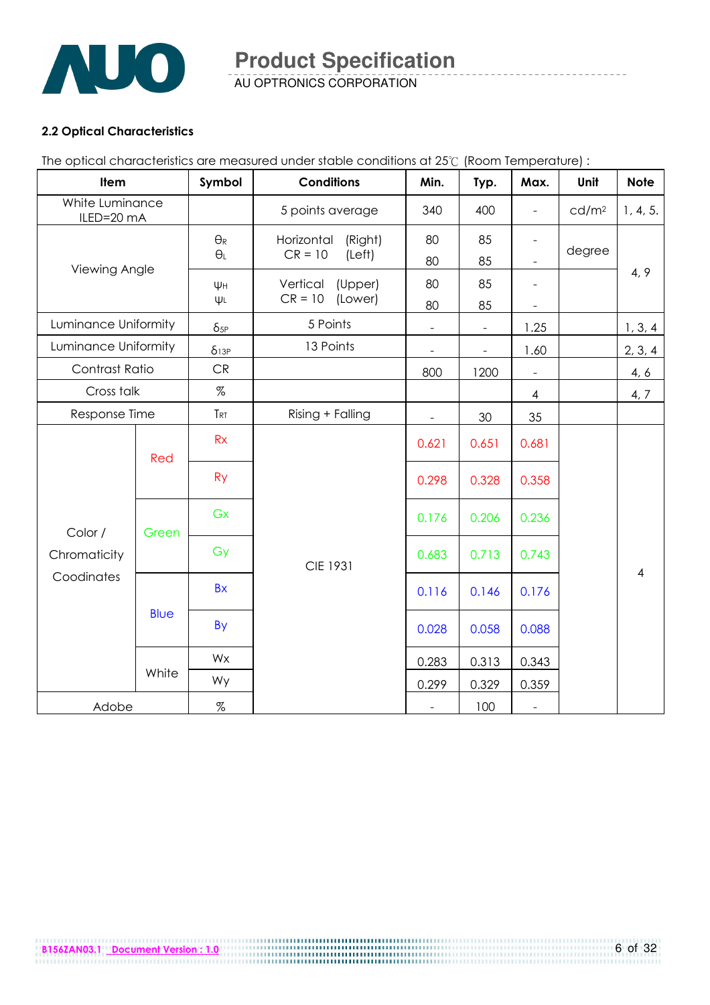

AU OPTRONICS CORPORATION

#### 2.2 Optical Characteristics

The optical characteristics are measured under stable conditions at 25℃ (Room Temperature) :

| Item                          |             | Symbol                              | <b>Conditions</b>                            | Min.                     | Typ.           | Max.                                                 | Unit              | <b>Note</b>    |
|-------------------------------|-------------|-------------------------------------|----------------------------------------------|--------------------------|----------------|------------------------------------------------------|-------------------|----------------|
| White Luminance<br>ILED=20 mA |             |                                     | 5 points average                             | 340                      | 400            | $\blacksquare$                                       | cd/m <sup>2</sup> | 1, 4, 5.       |
| Viewing Angle                 |             | $\Theta_{\mathsf{R}}$<br>$\theta_L$ | Horizontal<br>(Right)<br>$CR = 10$<br>(Left) | 80<br>80                 | 85<br>85       | $\overline{\phantom{a}}$<br>$\overline{\phantom{a}}$ | degree            |                |
|                               |             | ΨH<br>$\Psi L$                      | Vertical<br>(Upper)<br>$CR = 10$<br>(Lower)  | 80<br>80                 | 85<br>85       | $\overline{\phantom{a}}$<br>$\overline{\phantom{a}}$ |                   | 4, 9           |
| Luminance Uniformity          |             | $\delta_{5P}$                       | 5 Points                                     | $\equiv$                 | $\blacksquare$ | 1.25                                                 |                   | 1, 3, 4        |
| Luminance Uniformity          |             | $\delta$ 13P                        | 13 Points                                    | $\blacksquare$           | $\blacksquare$ | 1.60                                                 |                   | 2, 3, 4        |
| Contrast Ratio                |             | CR                                  |                                              | 800                      | 1200           | $\blacksquare$                                       |                   | 4, 6           |
| Cross talk                    |             | $\%$                                |                                              |                          |                | $\overline{4}$                                       |                   | 4, 7           |
| Response Time                 |             | T <sub>RT</sub>                     | Rising + Falling                             |                          | 30             | 35                                                   |                   |                |
|                               | Red         | Rx                                  |                                              | 0.621                    | 0.651          | 0.681                                                |                   |                |
|                               |             | <b>Ry</b>                           |                                              | 0.298                    | 0.328          | 0.358                                                |                   |                |
| Color /                       | Green       | Gx                                  |                                              | 0.176                    | 0.206          | 0.236                                                |                   |                |
| Chromaticity                  |             | Gy                                  | <b>CIE 1931</b>                              | 0.683                    | 0.713          | 0.743                                                |                   | $\overline{4}$ |
| Coodinates                    |             | <b>Bx</b>                           |                                              | 0.116                    | 0.146          | 0.176                                                |                   |                |
|                               | <b>Blue</b> | By                                  |                                              | 0.028                    | 0.058          | 0.088                                                |                   |                |
|                               |             | Wx                                  |                                              | 0.283                    | 0.313          | 0.343                                                |                   |                |
|                               | White       | Wy                                  |                                              | 0.299                    | 0.329          | 0.359                                                |                   |                |
| Adobe                         |             | $\%$                                |                                              | $\overline{\phantom{a}}$ | 100            | $\Box$                                               |                   |                |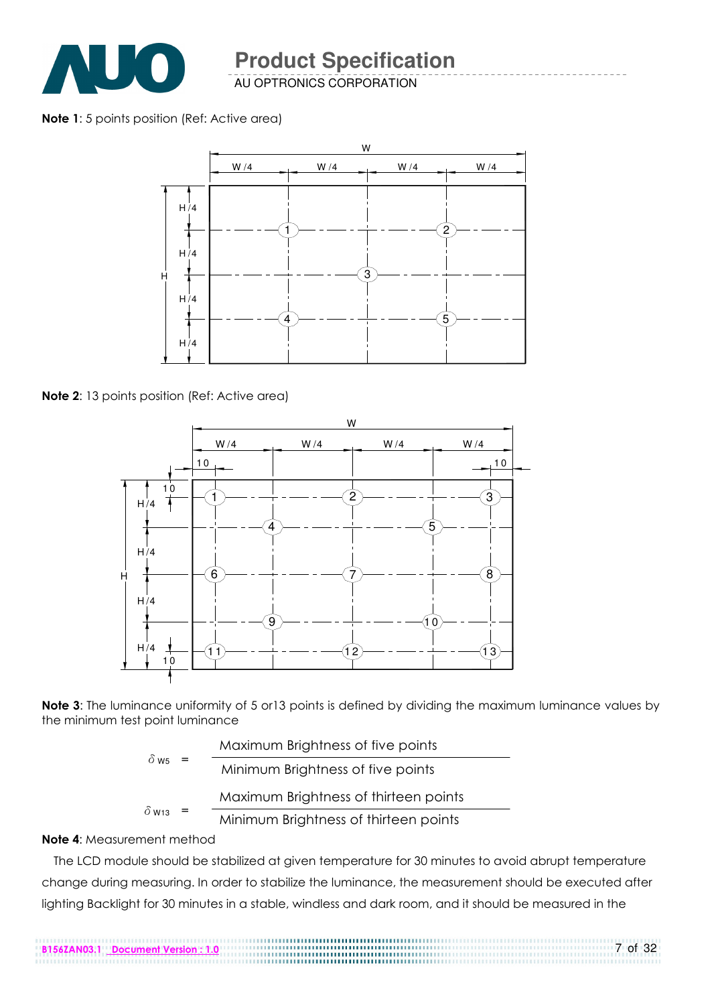

AU OPTRONICS CORPORATION

Note 1: 5 points position (Ref: Active area)



Note 2: 13 points position (Ref: Active area)



Note 3: The luminance uniformity of 5 or 13 points is defined by dividing the maximum luminance values by the minimum test point luminance

|                          | Maximum Brightness of five points     |
|--------------------------|---------------------------------------|
| $\delta$ ws              | Minimum Brightness of five points     |
| $\delta$ W <sub>13</sub> | Maximum Brightness of thirteen points |
|                          | Minimum Brightness of thirteen points |

#### Note 4: Measurement method

The LCD module should be stabilized at given temperature for 30 minutes to avoid abrupt temperature change during measuring. In order to stabilize the luminance, the measurement should be executed after lighting Backlight for 30 minutes in a stable, windless and dark room, and it should be measured in the

7 of 32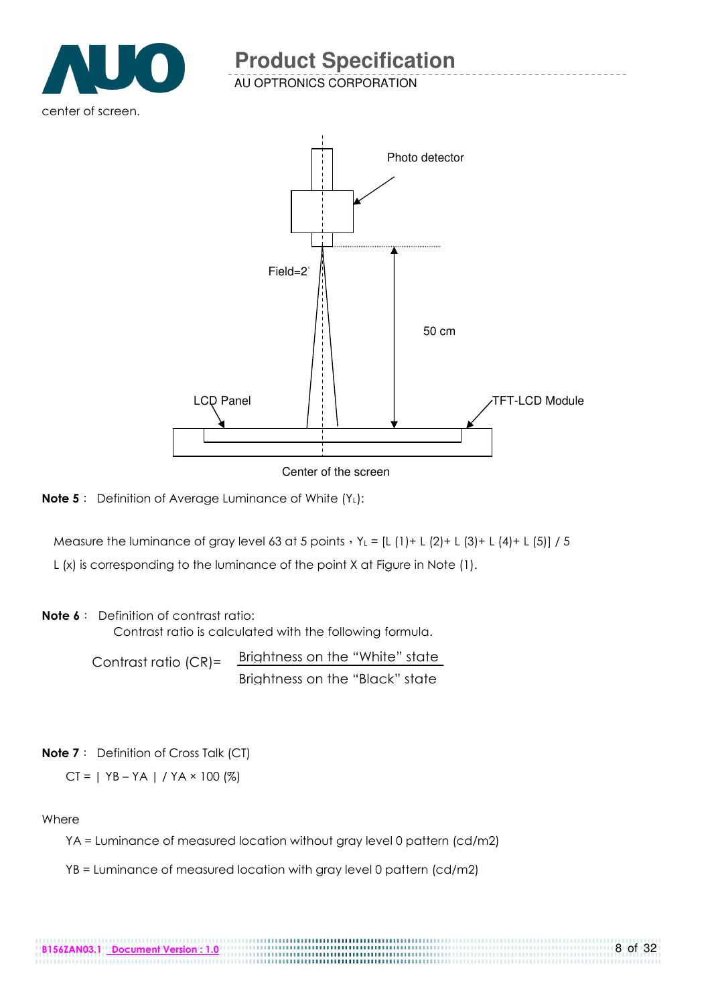

AU OPTRONICS CORPORATION



Center of the screen

**Note 5**: Definition of Average Luminance of White (Y<sub>L</sub>):

Measure the luminance of gray level 63 at 5 points,  $Y_L = [L (1) + L (2) + L (3) + L (4) + L (5)] / 5$ 

L (x) is corresponding to the luminance of the point X at Figure in Note (1).

#### Note 6: Definition of contrast ratio:

Contrast ratio is calculated with the following formula.

Contrast ratio (CR)= Brightness on the "White" state Brightness on the "Black" state

#### Note 7: Definition of Cross Talk (CT)

 $CT = | YB - YA | / YA \times 100 (%)$ 

#### **Where**

YA = Luminance of measured location without gray level 0 pattern (cd/m2)

......................

YB = Luminance of measured location with gray level 0 pattern (cd/m2)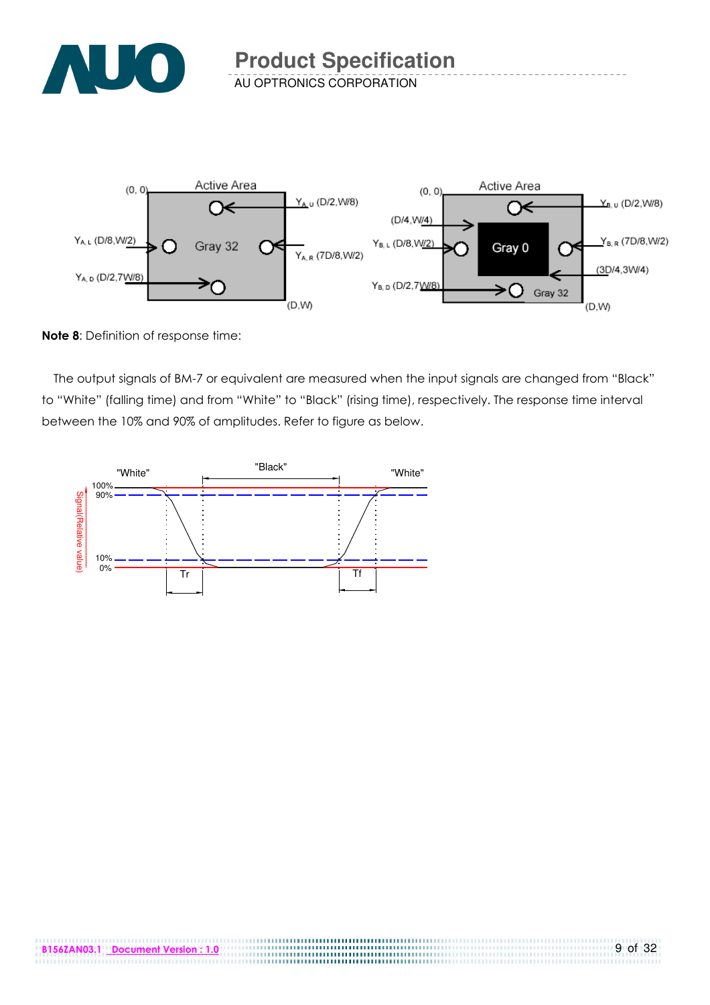



Note 8: Definition of response time:

The output signals of BM-7 or equivalent are measured when the input signals are changed from "Black" to "White" (falling time) and from "White" to "Black" (rising time), respectively. The response time interval between the 10% and 90% of amplitudes. Refer to figure as below.

.................................

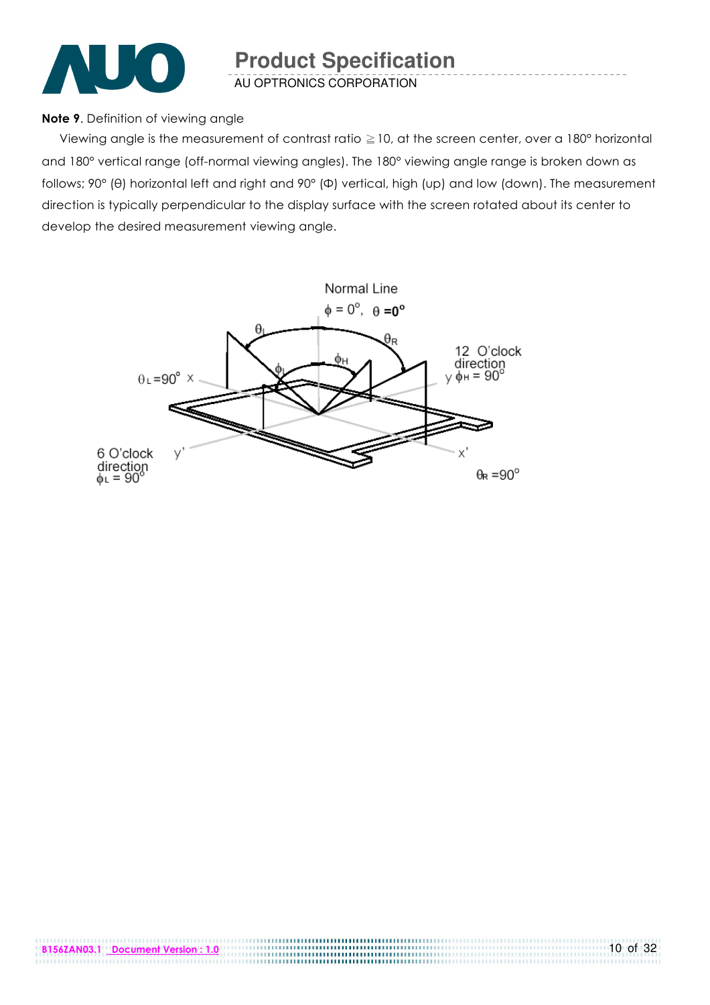

#### Note 9. Definition of viewing angle

 Viewing angle is the measurement of contrast ratio ≧10, at the screen center, over a 180° horizontal and 180° vertical range (off-normal viewing angles). The 180° viewing angle range is broken down as follows; 90° (θ) horizontal left and right and 90° (Φ) vertical, high (up) and low (down). The measurement direction is typically perpendicular to the display surface with the screen rotated about its center to develop the desired measurement viewing angle.

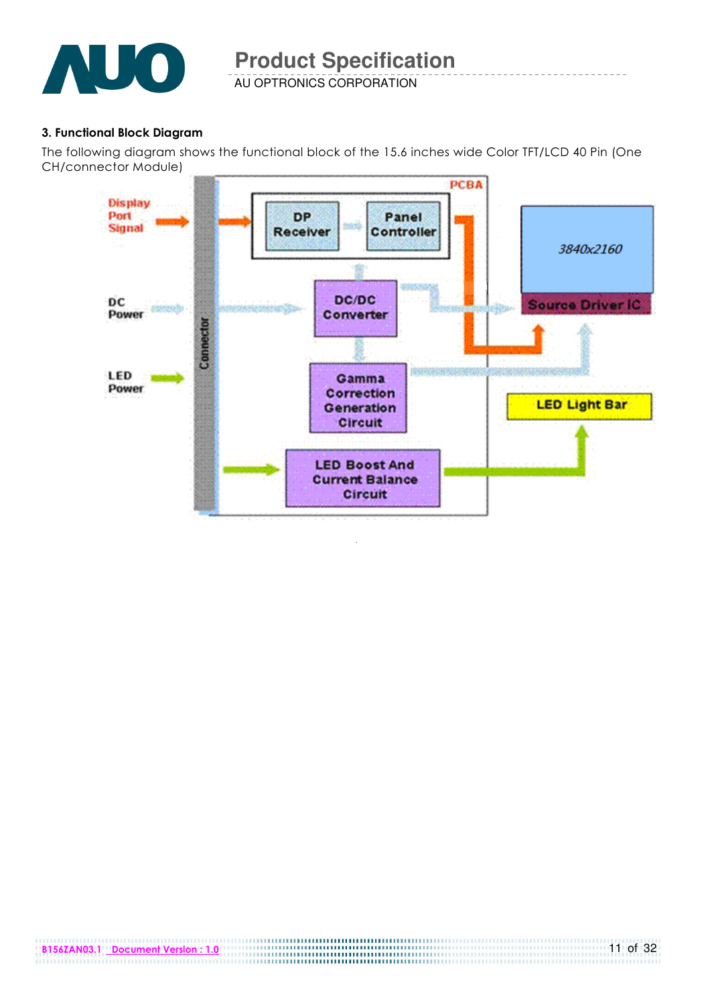

#### 3. Functional Block Diagram

The following diagram shows the functional block of the 15.6 inches wide Color TFT/LCD 40 Pin (One CH/connector Module)

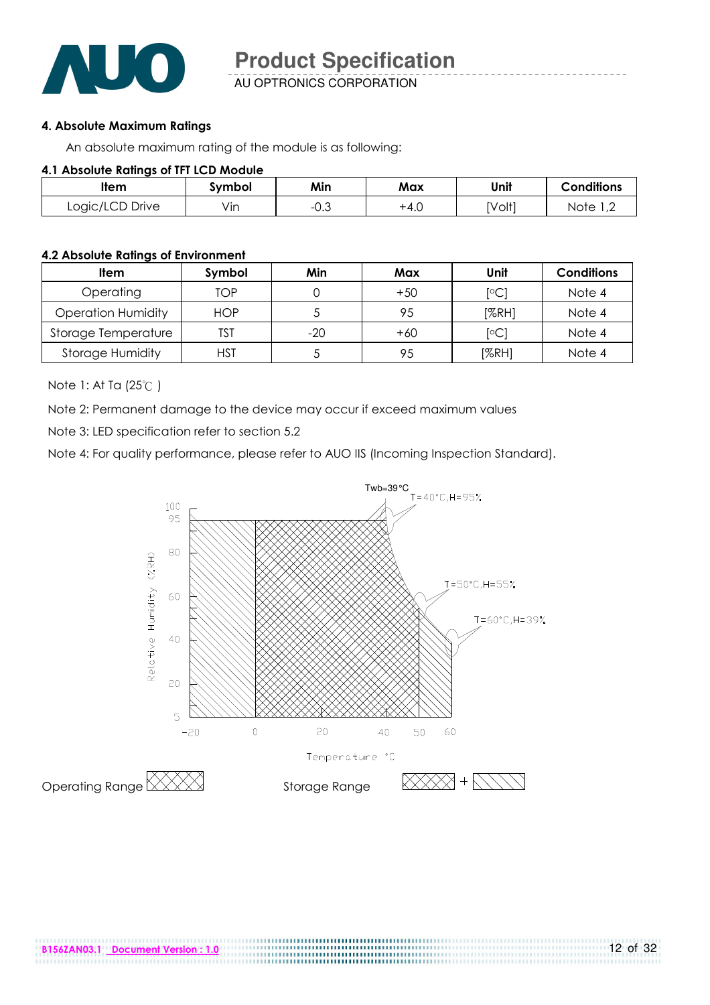

AU OPTRONICS CORPORATION

#### 4. Absolute Maximum Ratings

An absolute maximum rating of the module is as following:

#### 4.1 Absolute Ratings of TFT LCD Module

| ltem<br>ivmbol  |     | Min  | Max    | Unit   | <b>Conditions</b>      |
|-----------------|-----|------|--------|--------|------------------------|
| Logic/LCD Drive | Vın | −∪.ບ | $+4.0$ | [Volt] | Note<br>$\overline{ }$ |

#### 4.2 Absolute Ratings of Environment

| <b>Item</b>               | Symbol     | Min | Max   | Unit                    | <b>Conditions</b> |
|---------------------------|------------|-----|-------|-------------------------|-------------------|
| Operating                 | TOP        |     | $+50$ | $\lceil \circ C \rceil$ | Note 4            |
| <b>Operation Humidity</b> | <b>HOP</b> |     | 95    | [%RH]                   | Note 4            |
| Storage Temperature       | TST        | -20 | $+60$ | $\lceil \circ C \rceil$ | Note 4            |
| <b>Storage Humidity</b>   | <b>HST</b> |     | 95    | [%RH]                   | Note 4            |

Note 1: At Ta (25℃ )

Note 2: Permanent damage to the device may occur if exceed maximum values

Note 3: LED specification refer to section 5.2

Note 4: For quality performance, please refer to AUO IIS (Incoming Inspection Standard).

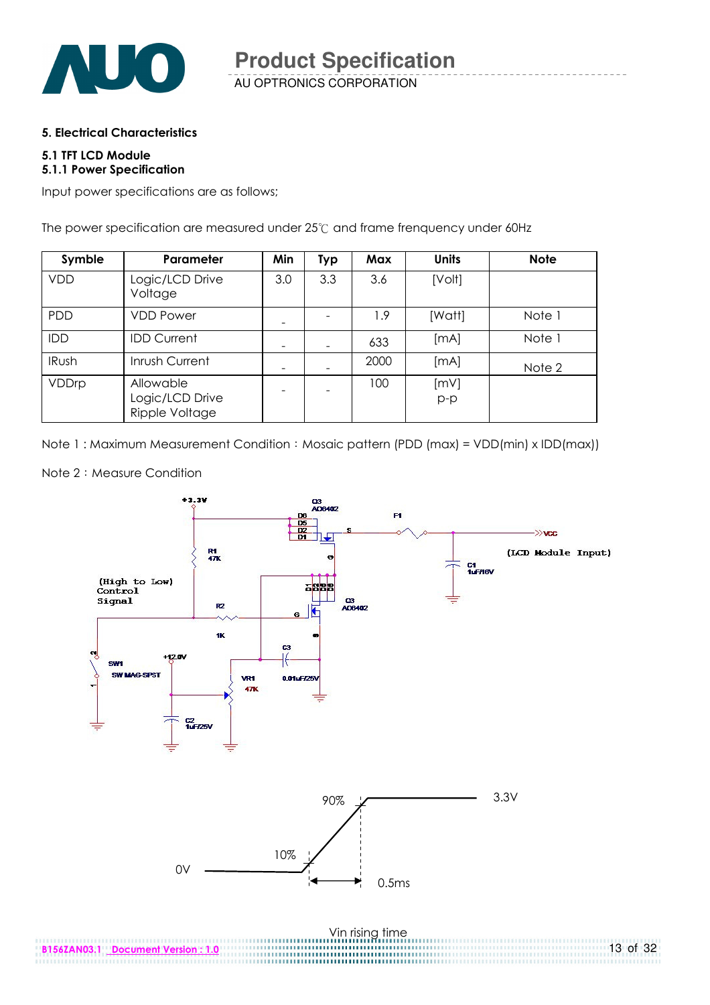

#### 5. Electrical Characteristics

#### 5.1 TFT LCD Module 5.1.1 Power Specification

Input power specifications are as follows;

The power specification are measured under 25℃ and frame frenquency under 60Hz

| Symble       | Parameter                                      | Min | <b>Typ</b> | Max  | <b>Units</b>  | <b>Note</b> |
|--------------|------------------------------------------------|-----|------------|------|---------------|-------------|
| <b>VDD</b>   | Logic/LCD Drive<br>Voltage                     | 3.0 | 3.3        | 3.6  | [Volt]        |             |
| <b>PDD</b>   | <b>VDD Power</b>                               |     |            | 1.9  | [Watt]        | Note 1      |
| IDD          | <b>IDD Current</b>                             |     |            | 633  | [MA]          | Note 1      |
| <b>IRush</b> | Inrush Current                                 |     |            | 2000 | [MA]          | Note 2      |
| VDDrp        | Allowable<br>Logic/LCD Drive<br>Ripple Voltage |     |            | 100  | [mV]<br>$p-p$ |             |

Note 1: Maximum Measurement Condition: Mosaic pattern (PDD (max) = VDD(min) x IDD(max))



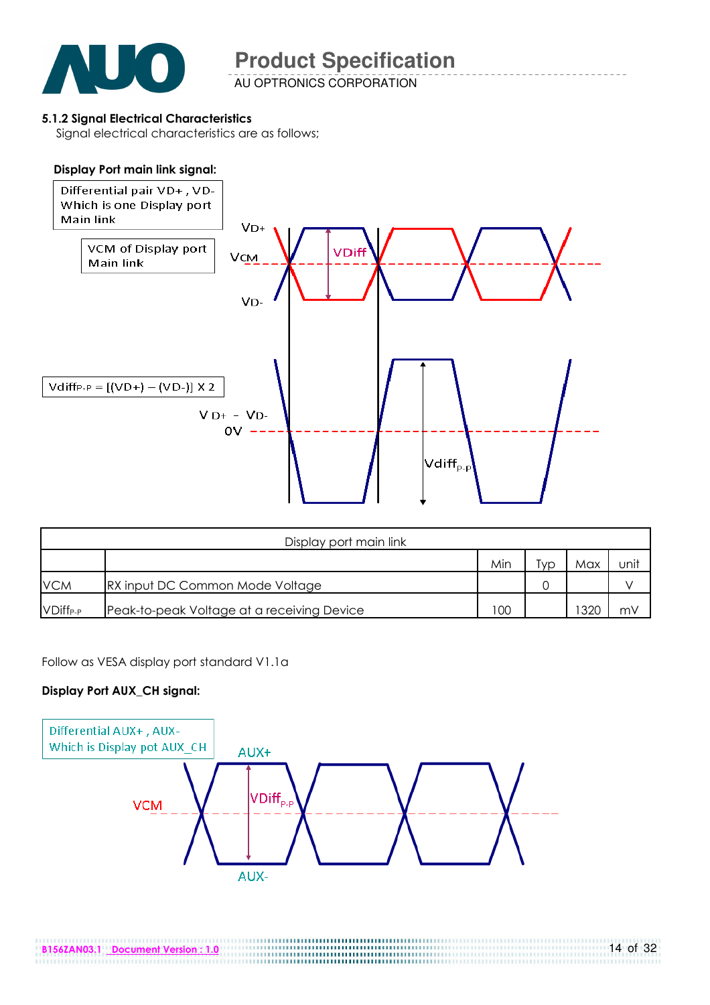

#### 5.1.2 Signal Electrical Characteristics

Signal electrical characteristics are as follows;

#### Display Port main link signal:



| Display port main link |                                            |     |     |      |      |  |  |
|------------------------|--------------------------------------------|-----|-----|------|------|--|--|
|                        |                                            | Min | 'yp | Max  | unit |  |  |
| <b>VCM</b>             | RX input DC Common Mode Voltage            |     |     |      |      |  |  |
| VDiff <sub>P-P</sub>   | Peak-to-peak Voltage at a receiving Device | 100 |     | 1320 | m۷   |  |  |

Follow as VESA display port standard V1.1a

#### Display Port AUX\_CH signal:

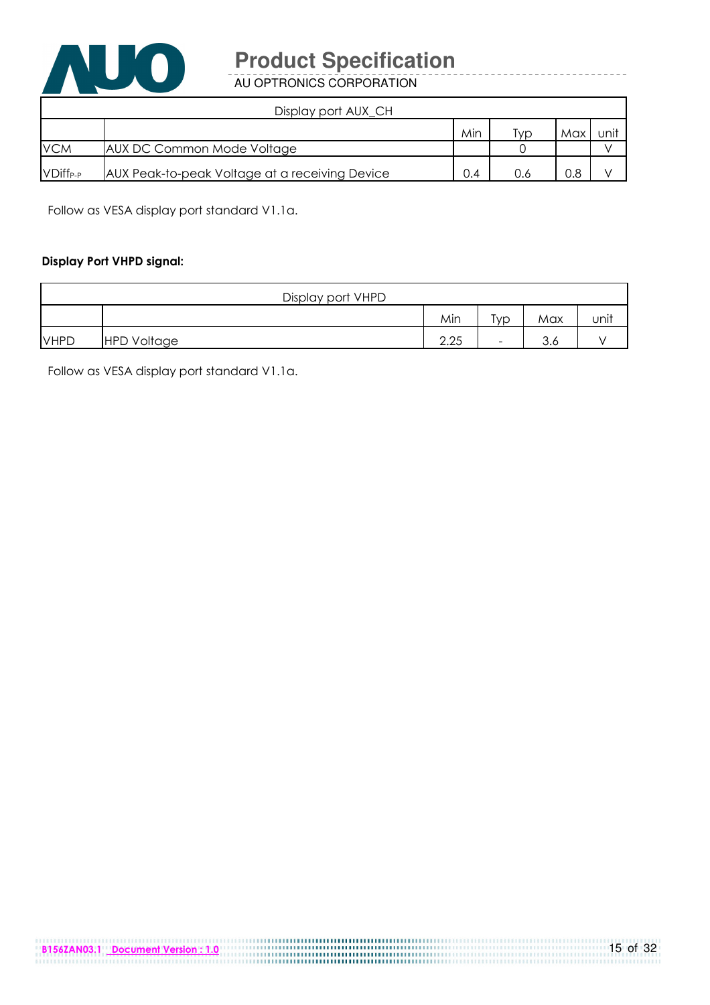

AU OPTRONICS CORPORATION

| Display port AUX_CH  |                                                |     |     |     |      |  |  |
|----------------------|------------------------------------------------|-----|-----|-----|------|--|--|
|                      |                                                | Min | Гvр | Max | unit |  |  |
| <b>VCM</b>           | AUX DC Common Mode Voltage                     |     |     |     |      |  |  |
| VDiff <sub>P-P</sub> | AUX Peak-to-peak Voltage at a receiving Device | 0.4 | 0.6 | 0.8 |      |  |  |

Follow as VESA display port standard V1.1a.

#### Display Port VHPD signal:

| Display port VHPD |                    |      |                          |               |      |
|-------------------|--------------------|------|--------------------------|---------------|------|
|                   |                    | Min  | Typ                      | Max           | unit |
| <b>VHPD</b>       | <b>HPD Voltage</b> | 2.25 | $\overline{\phantom{0}}$ | $\sim$<br>o.o |      |

Follow as VESA display port standard V1.1a.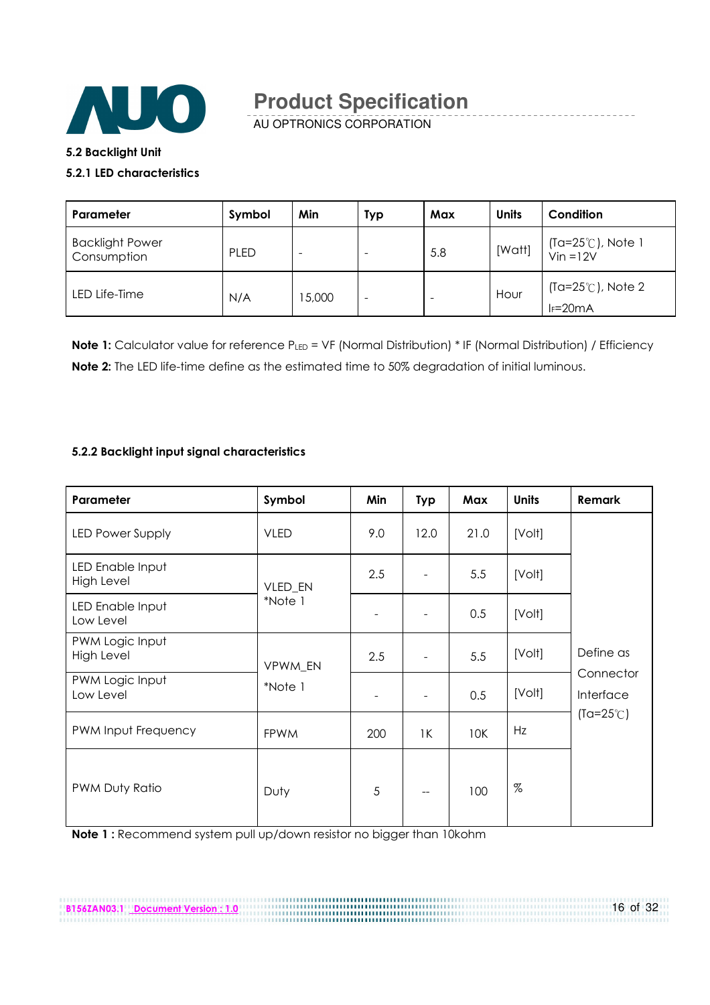

AU OPTRONICS CORPORATION

#### 5.2 Backlight Unit

#### 5.2.1 LED characteristics

| Parameter                             | Symbol      | Min    | Typ                      | Max | <b>Units</b> | Condition                                   |
|---------------------------------------|-------------|--------|--------------------------|-----|--------------|---------------------------------------------|
| <b>Backlight Power</b><br>Consumption | <b>PLED</b> |        | $\overline{\phantom{a}}$ | 5.8 | [Watt]       | (Ta=25°C), Note 1<br>Vin =12V               |
| LED Life-Time                         | N/A         | 15,000 | $\overline{\phantom{0}}$ |     | Hour         | $(Ta=25^{\circ}C)$ , Note 2<br>$I_F = 20mA$ |

Note 1: Calculator value for reference PLED = VF (Normal Distribution) \* IF (Normal Distribution) / Efficiency Note 2: The LED life-time define as the estimated time to 50% degradation of initial luminous.

#### 5.2.2 Backlight input signal characteristics

| Parameter                            | Symbol      | Min | <b>Typ</b> | Max  | <b>Units</b> | Remark                 |
|--------------------------------------|-------------|-----|------------|------|--------------|------------------------|
| <b>LED Power Supply</b>              | <b>VLED</b> | 9.0 | 12.0       | 21.0 | [Volt]       |                        |
| LED Enable Input<br>High Level       | VLED_EN     | 2.5 |            | 5.5  | [Volt]       |                        |
| LED Enable Input<br>Low Level        | *Note 1     |     |            | 0.5  | [Volt]       |                        |
| PWM Logic Input<br><b>High Level</b> | VPWM_EN     | 2.5 |            | 5.5  | [Volt]       | Define as              |
| PWM Logic Input<br>Low Level         | *Note 1     |     |            | 0.5  | [Volt]       | Connector<br>Interface |
| PWM Input Frequency                  | <b>FPWM</b> | 200 | 1K         | 10K  | Hz           | $(Ta=25^{\circ}C)$     |
| PWM Duty Ratio                       | Duty        | 5   | --         | 100  | $\%$         |                        |

B156ZAN03.1 Document Version : 1.0 16 of 32

Note 1 : Recommend system pull up/down resistor no bigger than 10kohm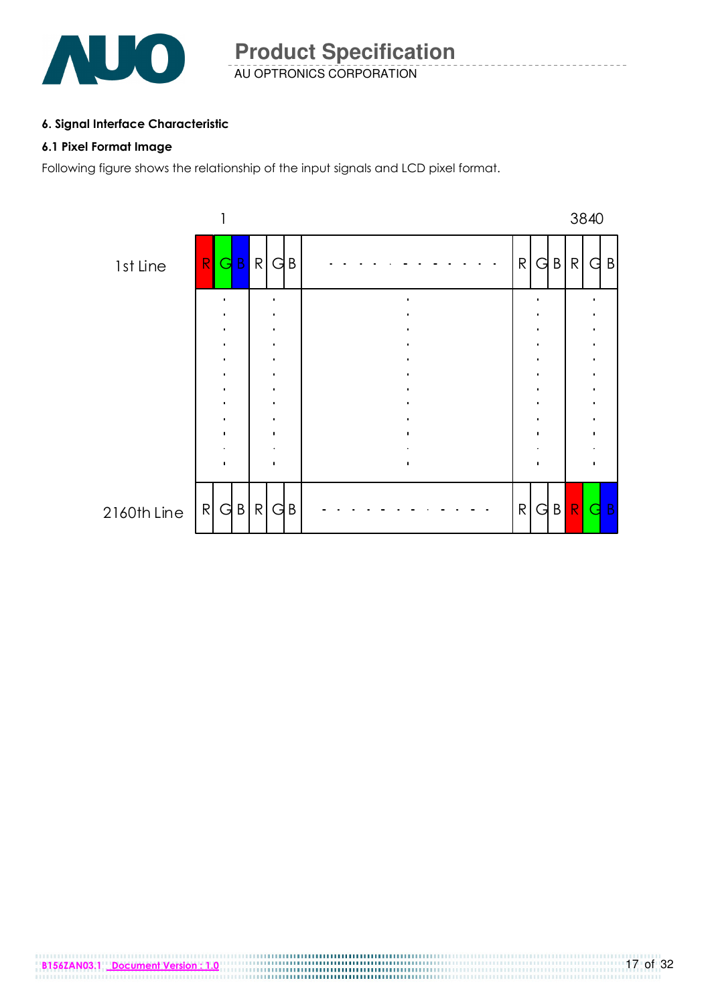

AU OPTRONICS CORPORATION **Product Specification** 

#### 6. Signal Interface Characteristic

#### 6.1 Pixel Format Image

Following figure shows the relationship of the input signals and LCD pixel format.

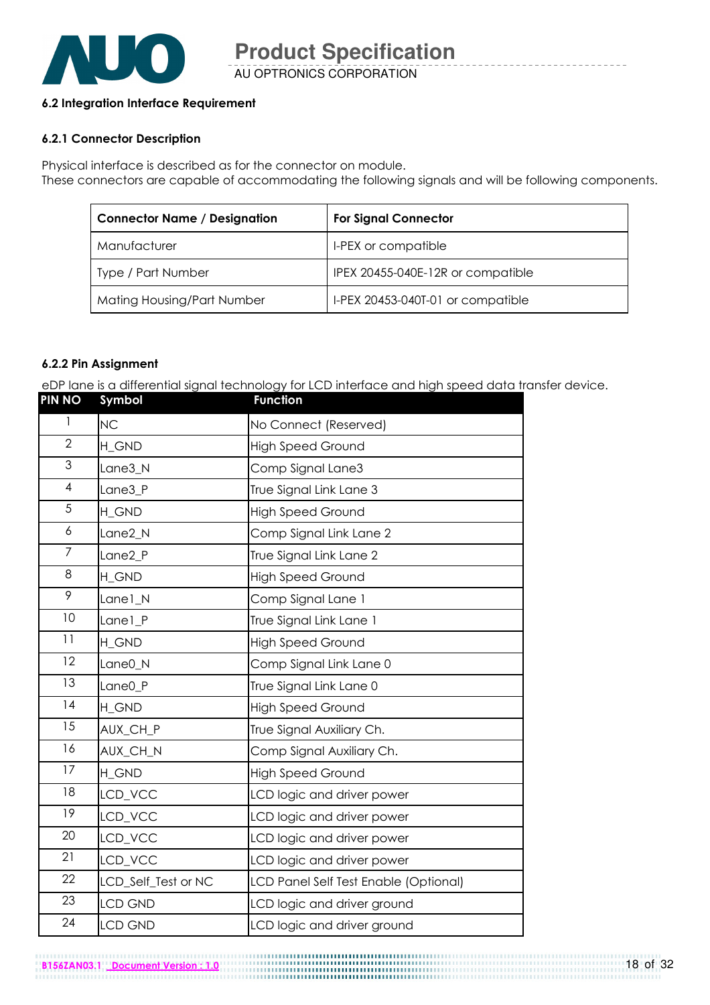

AU OPTRONICS CORPORATION **Product Specification** 

#### 6.2 Integration Interface Requirement

#### 6.2.1 Connector Description

Physical interface is described as for the connector on module. These connectors are capable of accommodating the following signals and will be following components.

| <b>Connector Name / Designation</b> | <b>For Signal Connector</b>       |
|-------------------------------------|-----------------------------------|
| Manufacturer                        | I-PEX or compatible               |
| Type / Part Number                  | IPEX 20455-040E-12R or compatible |
| Mating Housing/Part Number          | I-PEX 20453-040T-01 or compatible |

#### 6.2.2 Pin Assignment

eDP lane is a differential signal technology for LCD interface and high speed data transfer device.

| <b>PIN NO</b>  | Symbol              | <b>Function</b>                       |
|----------------|---------------------|---------------------------------------|
| $\mathbf{1}$   | <b>NC</b>           | No Connect (Reserved)                 |
| $\overline{2}$ | H GND               | <b>High Speed Ground</b>              |
| 3              | Lane3 N             | Comp Signal Lane3                     |
| $\overline{4}$ | Lane3_P             | True Signal Link Lane 3               |
| 5              | H_GND               | <b>High Speed Ground</b>              |
| 6              | Lane2_N             | Comp Signal Link Lane 2               |
| $\overline{7}$ | Lane <sub>2</sub> P | True Signal Link Lane 2               |
| 8              | H_GND               | <b>High Speed Ground</b>              |
| 9              | Lane1_N             | Comp Signal Lane 1                    |
| 10             | Lane1_P             | True Signal Link Lane 1               |
| 11             | H GND               | <b>High Speed Ground</b>              |
| 12             | Lane0_N             | Comp Signal Link Lane 0               |
| 13             | Lane0_P             | True Signal Link Lane 0               |
| 4              | H_GND               | <b>High Speed Ground</b>              |
| 15             | AUX_CH_P            | True Signal Auxiliary Ch.             |
| 16             | AUX_CH_N            | Comp Signal Auxiliary Ch.             |
| 17             | H_GND               | <b>High Speed Ground</b>              |
| 18             | LCD_VCC             | LCD logic and driver power            |
| 19             | LCD_VCC             | LCD logic and driver power            |
| 20             | LCD_VCC             | LCD logic and driver power            |
| 21             | LCD_VCC             | LCD logic and driver power            |
| 22             | LCD_Self_Test or NC | LCD Panel Self Test Enable (Optional) |
| 23             | <b>LCD GND</b>      | LCD logic and driver ground           |
| 24             | <b>LCD GND</b>      | LCD logic and driver ground           |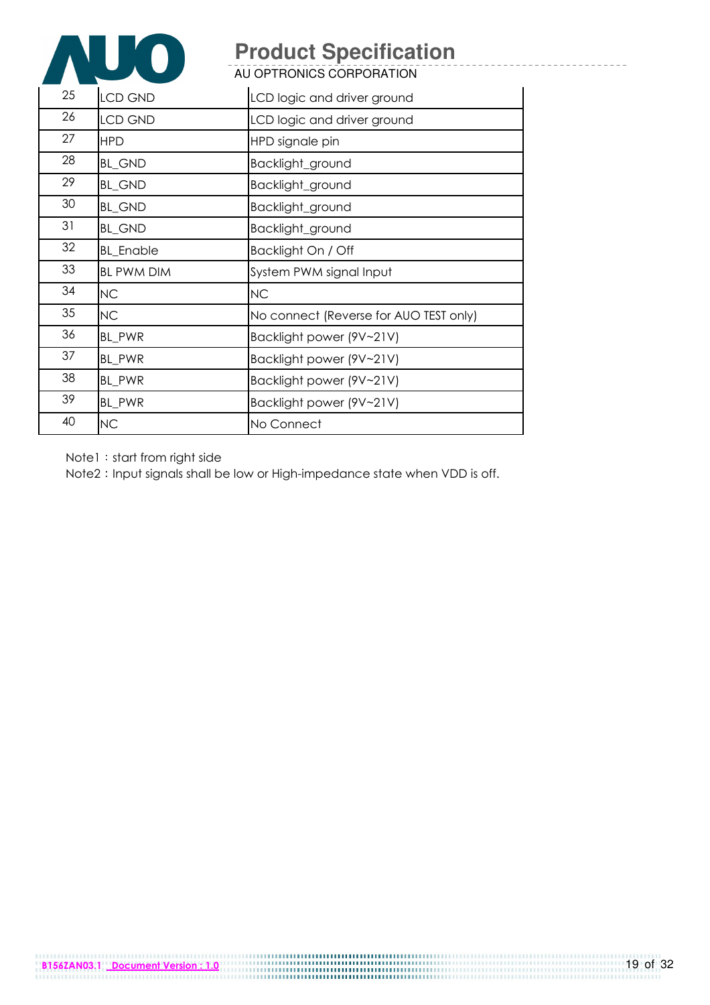

AU OPTRONICS CORPORATION

| 25 | <b>LCD GND</b>    | LCD logic and driver ground            |
|----|-------------------|----------------------------------------|
| 26 | <b>LCD GND</b>    | LCD logic and driver ground            |
| 27 | <b>HPD</b>        | HPD signale pin                        |
| 28 | <b>BL_GND</b>     | Backlight_ground                       |
| 29 | <b>BL_GND</b>     | Backlight_ground                       |
| 30 | <b>BL_GND</b>     | Backlight_ground                       |
| 31 | <b>BL_GND</b>     | Backlight_ground                       |
| 32 | <b>BL_Enable</b>  | Backlight On / Off                     |
| 33 | <b>BL PWM DIM</b> | System PWM signal Input                |
| 34 | NC                | <b>NC</b>                              |
| 35 | NC                | No connect (Reverse for AUO TEST only) |
| 36 | BL_PWR            | Backlight power (9V~21V)               |
| 37 | BL PWR            | Backlight power (9V~21V)               |
| 38 | BL_PWR            | Backlight power (9V~21V)               |
| 39 | BL_PWR            | Backlight power (9V~21V)               |
| 40 | <b>NC</b>         | No Connect                             |

Note1: start from right side

Note2: Input signals shall be low or High-impedance state when VDD is off.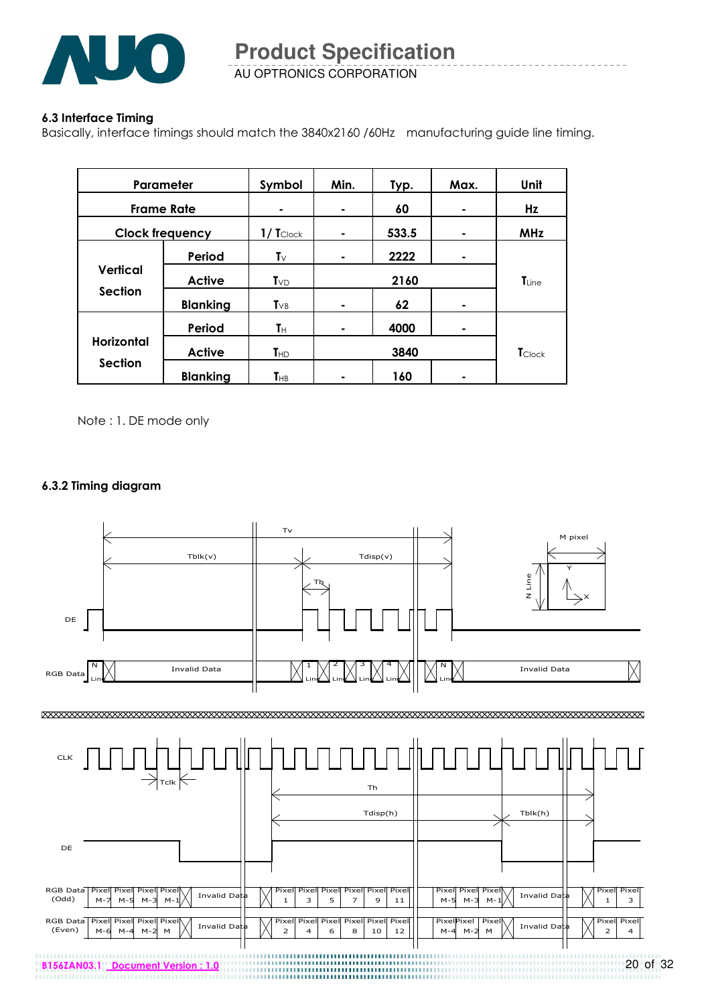

AU OPTRONICS CORPORATION **Product Specification** 

#### 6.3 Interface Timing

Basically, interface timings should match the 3840x2160 /60Hz manufacturing guide line timing.

| Parameter              |                 | Symbol                     | Min. | Typ.       | Max. | Unit           |  |
|------------------------|-----------------|----------------------------|------|------------|------|----------------|--|
| <b>Frame Rate</b>      |                 |                            | ٠    | 60         |      | Hz             |  |
| <b>Clock frequency</b> |                 | $1/$ $T_{\text{Clock}}$    | ۰    | 533.5      |      | <b>MHz</b>     |  |
|                        | Period          | $\mathsf{T}_{\forall}$     | ۰    | 2222       | ۰    |                |  |
| Vertical               | <b>Active</b>   | $T_{VD}$                   |      | $T_{Line}$ |      |                |  |
| <b>Section</b>         | <b>Blanking</b> | $T_{VB}$                   | ۰    | 62         | ۰    |                |  |
|                        | Period          | Tн                         | ۰    | 4000       |      |                |  |
| <b>Horizontal</b>      | <b>Active</b>   | T <sub>HD</sub>            | 3840 |            |      | <b>T</b> Clock |  |
| <b>Section</b>         | <b>Blanking</b> | $\mathsf{T}_{\mathsf{HB}}$ | ٠    | 160        |      |                |  |

Note : 1. DE mode only

#### 6.3.2 Timing diagram

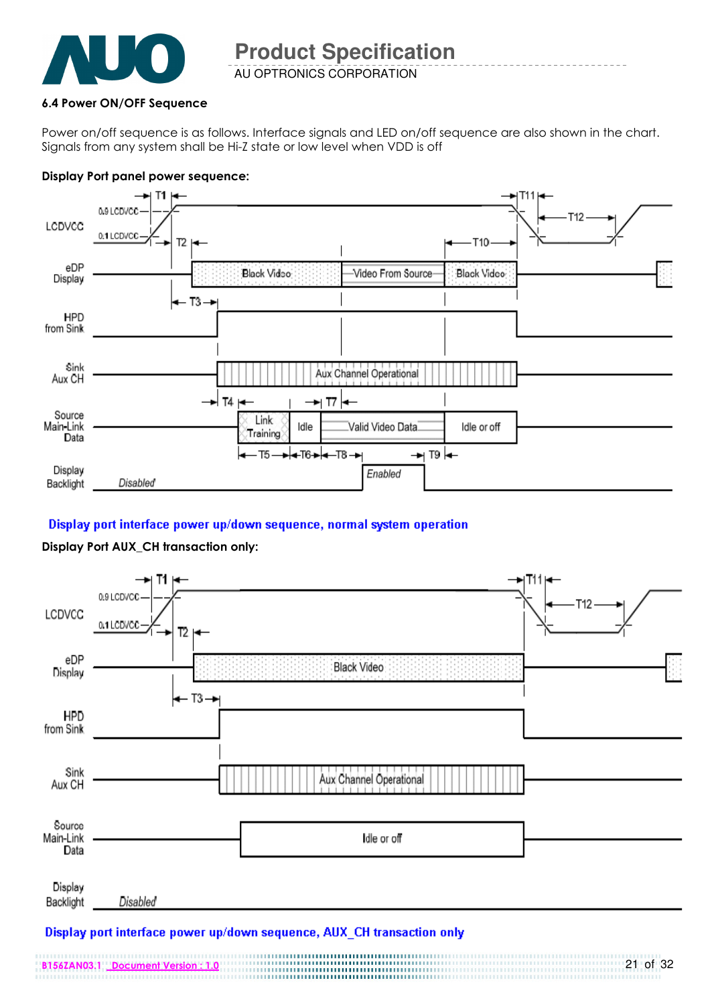

AU OPTRONICS CORPORATION **Product Specification** 

#### 6.4 Power ON/OFF Sequence

Power on/off sequence is as follows. Interface signals and LED on/off sequence are also shown in the chart. Signals from any system shall be Hi-Z state or low level when VDD is off

#### Display Port panel power sequence:



#### Display port interface power up/down sequence, normal system operation

#### Display Port AUX\_CH transaction only:



#### Display port interface power up/down sequence, AUX\_CH transaction only

B156ZAN03.1 Document Version : 1.0 21 of 32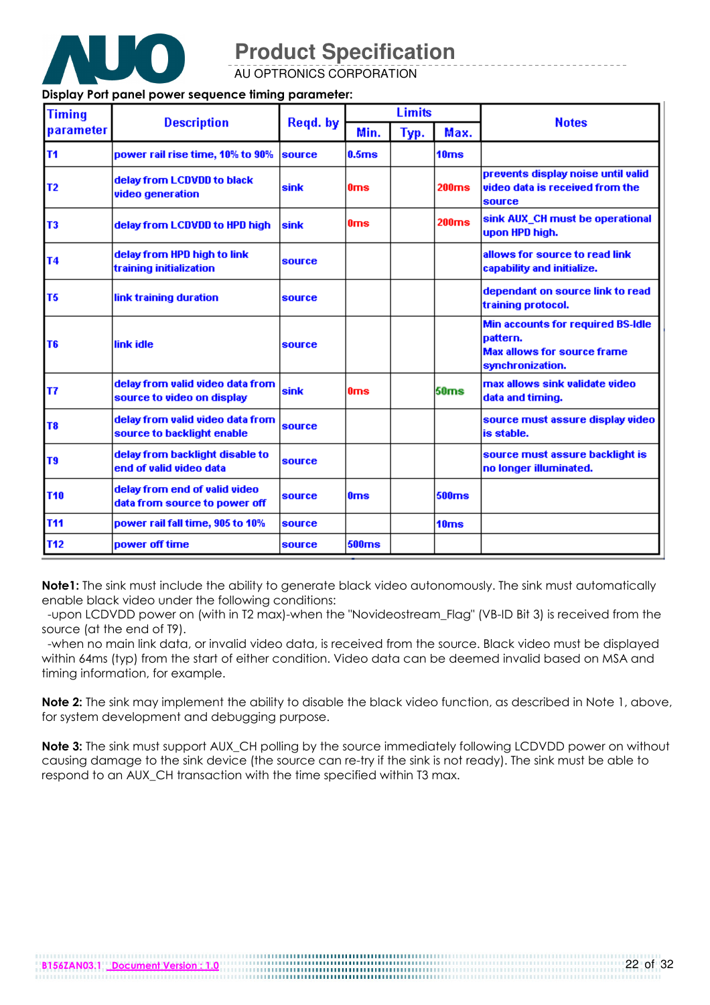

AU OPTRONICS CORPORATION

#### Display Port panel power sequence timing parameter:

| <b>Timing</b>  |                                                                |             | <b>Limits</b>     |      |                   | <b>Notes</b>                                                                                                    |  |
|----------------|----------------------------------------------------------------|-------------|-------------------|------|-------------------|-----------------------------------------------------------------------------------------------------------------|--|
| parameter      | <b>Description</b>                                             | Regd. by    | Min.              | Тур. | Max.              |                                                                                                                 |  |
| T <sub>1</sub> | power rail rise time, 10% to 90%                               | source      | 0.5 <sub>ms</sub> |      | 10ms              |                                                                                                                 |  |
| T <sub>2</sub> | delay from LCDVDD to black<br>video generation                 | sink        | 0 <sub>ms</sub>   |      | 200ms             | prevents display noise until valid<br>video data is received from the<br>source                                 |  |
| T <sub>3</sub> | delay from LCDVDD to HPD high                                  | <b>sink</b> | 0ms               |      | 200 <sub>ms</sub> | sink AUX_CH must be operational<br>upon HPD high.                                                               |  |
| <b>T4</b>      | delay from HPD high to link<br>training initialization         | source      |                   |      |                   | allows for source to read link<br>capability and initialize.                                                    |  |
| T <sub>5</sub> | link training duration                                         | source      |                   |      |                   | dependant on source link to read<br>training protocol.                                                          |  |
| T <sub>6</sub> | link idle                                                      | source      |                   |      |                   | <b>Min accounts for required BS-Idle</b><br>lpattern.<br><b>Max allows for source frame</b><br>synchronization. |  |
| lT7            | delay from valid video data from<br>source to video on display | <b>sink</b> | 0 <sub>ms</sub>   |      | 50ms              | max allows sink validate video<br>data and timing.                                                              |  |
| T <sub>8</sub> | delay from valid video data from<br>source to backlight enable | source      |                   |      |                   | source must assure display video<br>is stable.                                                                  |  |
| T9             | delay from backlight disable to<br>end of valid video data     | source      |                   |      |                   | source must assure backlight is<br>no longer illuminated.                                                       |  |
| <b>T10</b>     | delay from end of valid video<br>data from source to power off | source      | 0 <sub>ms</sub>   |      | <b>500ms</b>      |                                                                                                                 |  |
| <b>T11</b>     | power rail fall time, 905 to 10%                               | source      |                   |      | 10ms              |                                                                                                                 |  |
| <b>T12</b>     | power off time                                                 | source      | 500ms             |      |                   |                                                                                                                 |  |

Note1: The sink must include the ability to generate black video autonomously. The sink must automatically enable black video under the following conditions:

 -upon LCDVDD power on (with in T2 max)-when the "Novideostream\_Flag" (VB-ID Bit 3) is received from the source (at the end of T9).

 -when no main link data, or invalid video data, is received from the source. Black video must be displayed within 64ms (typ) from the start of either condition. Video data can be deemed invalid based on MSA and timing information, for example.

Note 2: The sink may implement the ability to disable the black video function, as described in Note 1, above, for system development and debugging purpose.

Note 3: The sink must support AUX\_CH polling by the source immediately following LCDVDD power on without causing damage to the sink device (the source can re-try if the sink is not ready). The sink must be able to respond to an AUX CH transaction with the time specified within T3 max.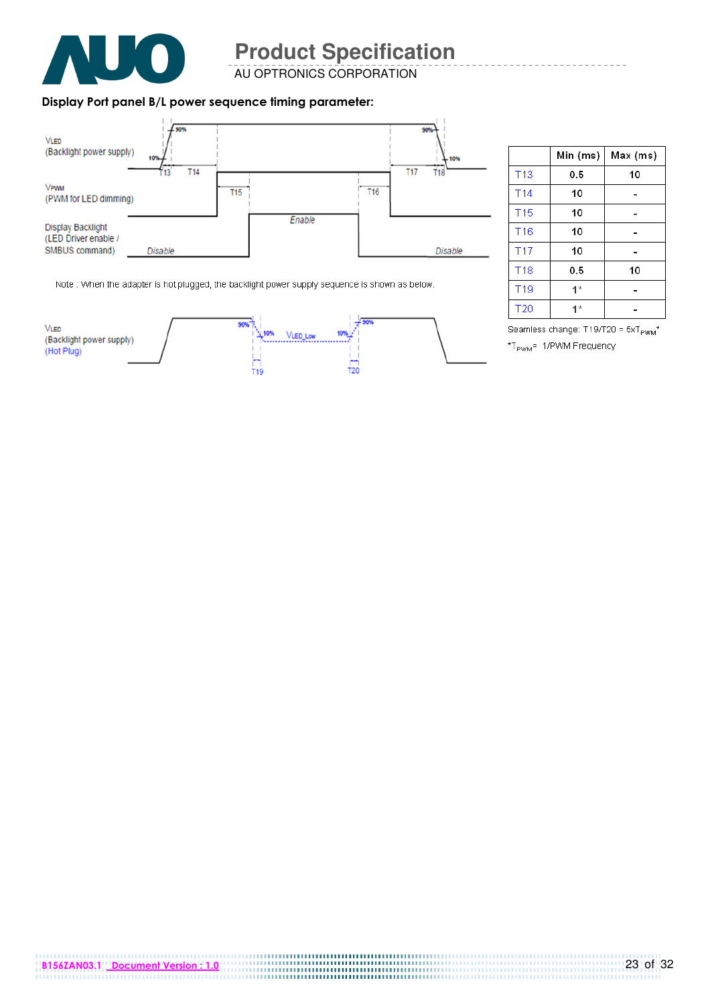

AU OPTRONICS CORPORATION

#### Display Port panel B/L power sequence timing parameter:



|                 | Min (ms) | Max (ms) |
|-----------------|----------|----------|
| <b>T13</b>      | 0.5      | 10       |
| T <sub>14</sub> | 10       |          |
| T <sub>15</sub> | 10       |          |
| T <sub>16</sub> | 10       |          |
| T <sub>17</sub> | 10       |          |
| <b>T18</b>      | 0.5      | 10       |
| T <sub>19</sub> | $1*$     |          |
| T <sub>20</sub> | 1 *      |          |

Note : When the adapter is hot plugged, the backlight power supply sequence is shown as below.



Seamless change: T19/T20 = 5xT<sub>PWM</sub>\* \*T<sub>PWM</sub>= 1/PWM Frequency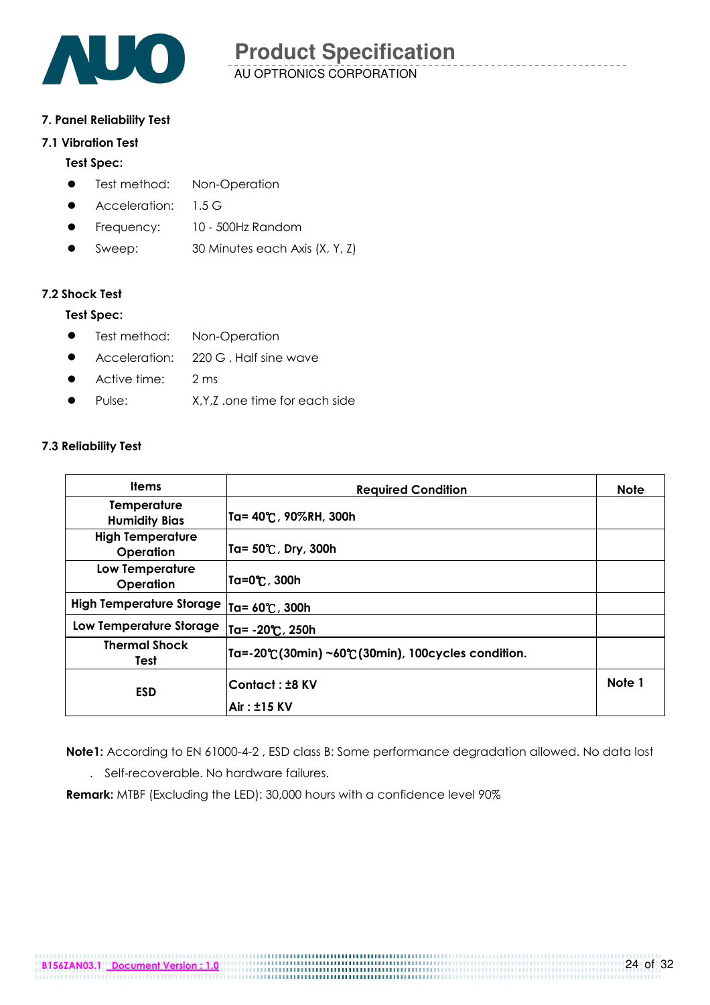

#### 7. Panel Reliability Test

#### 7.1 Vibration Test

#### Test Spec:

- **•** Test method: Non-Operation
- **Acceleration: 1.5 G**
- **Frequency:** 10 500Hz Random
- Sweep: 30 Minutes each Axis (X, Y, Z)

#### 7.2 Shock Test

#### Test Spec:

- **•** Test method: Non-Operation
- Acceleration: 220 G, Half sine wave
- Active time: 2 ms
- Pulse: X, Y, Z .one time for each side

#### 7.3 Reliability Test

| <b>Required Condition</b>                       | <b>Note</b> |
|-------------------------------------------------|-------------|
| Ta= 40℃, 90%RH, 300h                            |             |
| Ta= 50℃, Dry, 300h                              |             |
| Ta=0℃, 300h                                     |             |
| Ta= 60℃, 300h                                   |             |
| Ta= -20°C, 250h                                 |             |
| Ta=-20℃(30min)~60℃(30min), 100cycles condition. |             |
| <b>Contact: ±8 KV</b>                           | Note 1      |
|                                                 | Air: ±15 KV |

Note1: According to EN 61000-4-2, ESD class B: Some performance degradation allowed. No data lost . Self-recoverable. No hardware failures.

Remark: MTBF (Excluding the LED): 30,000 hours with a confidence level 90%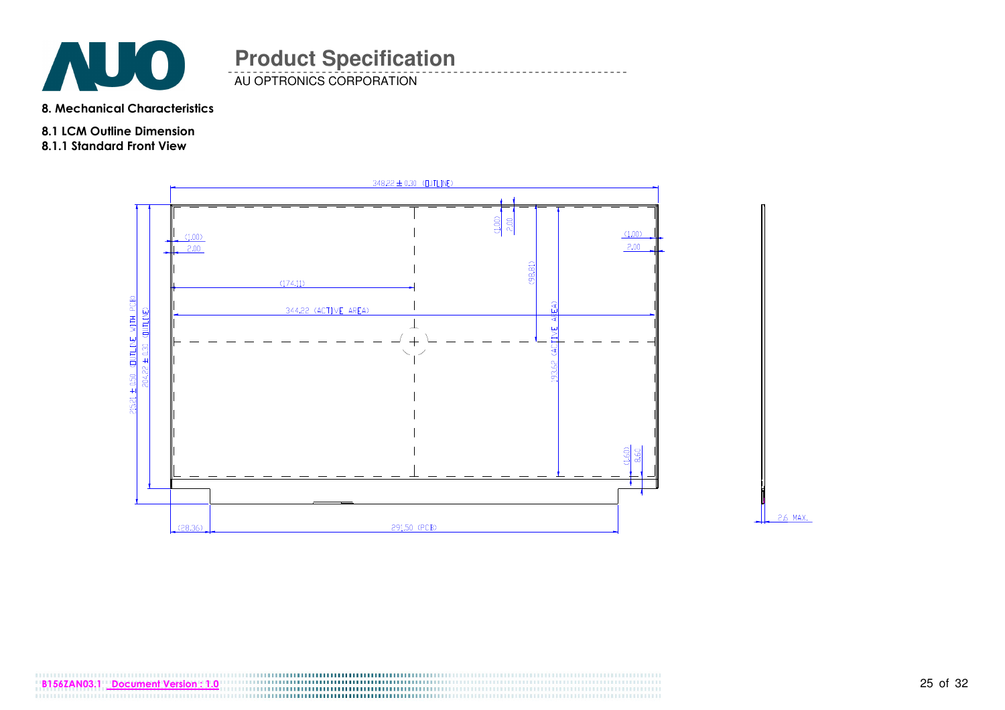

**AU OPTRONICS CORPORATION** 

8. Mechanical Characteristics

- 8.1 LCM Outline Dimension
- 8.1.1 Standard Front View



2.6 MAX.

B156ZAN03.1 <u>Document Version : 1.0 25 of 32 of 32 of 32 of 32 of 32 of 32 of 32 of 32 of 32 of 32 of 32 of 32 of 32 of 32 of 32 of 32 of 32 of 32 of 32 of 32 of 32 of 32 of 32 of 32 of 32 of 32 of 32 of 32 of 32 of 32 of </u>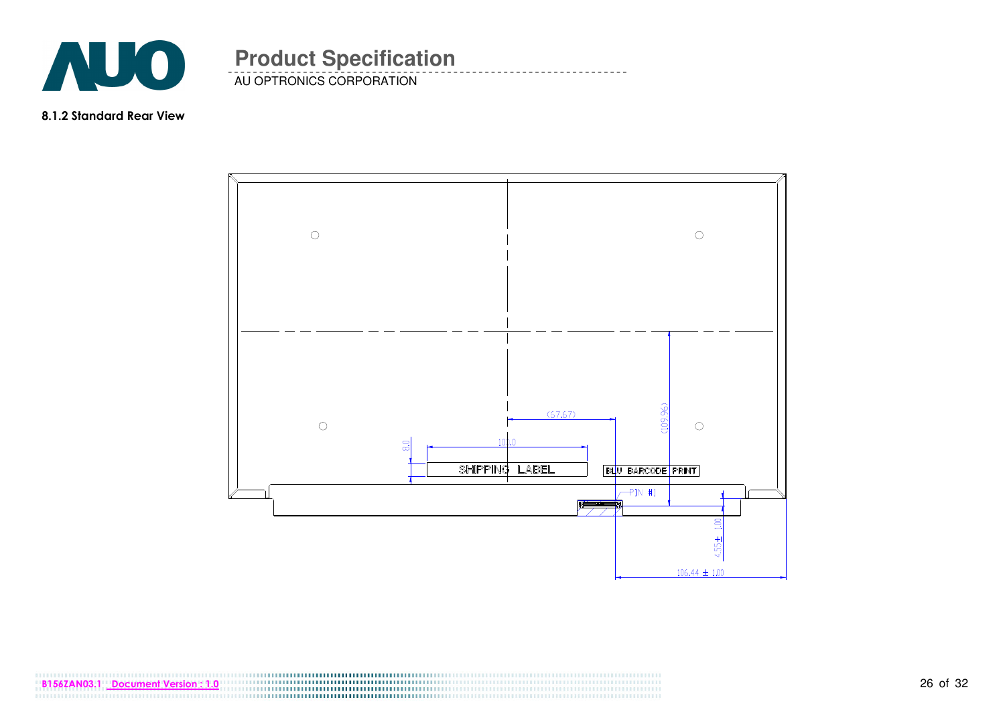

AU OPTRONICS CORPORATION **Product Specification** 

8.1.2 Standard Rear View



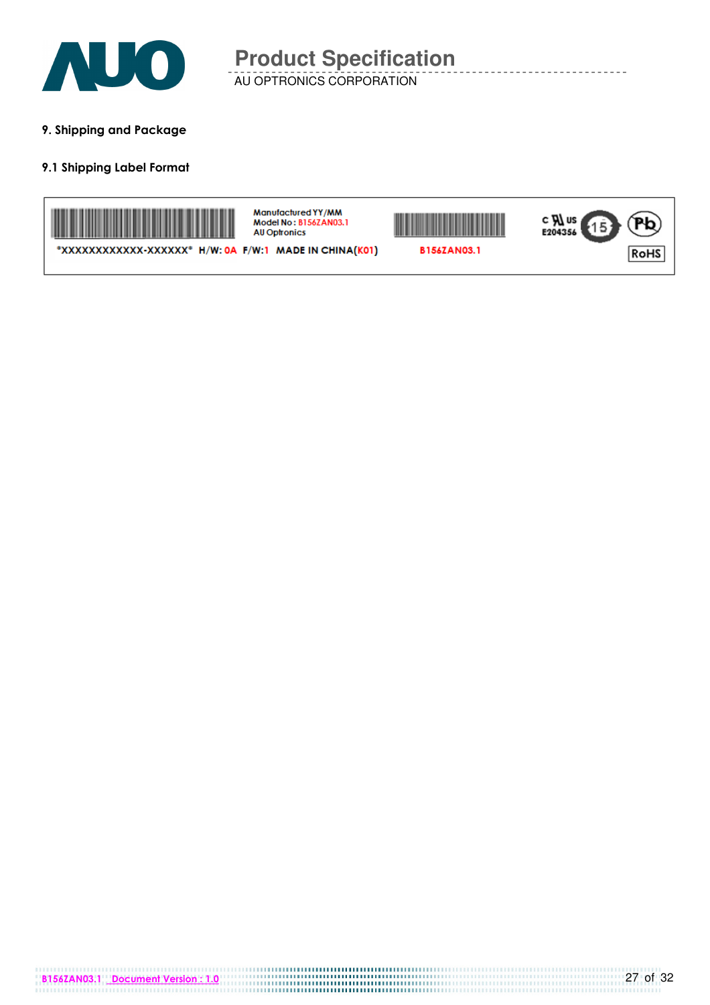

9. Shipping and Package

#### 9.1 Shipping Label Format



Manufactured YY/MM Model No: B156ZAN03.1 AU Optronics





\*XXXXXXXXXXXX-XXXXXX<sup>\*</sup> H/W: 0A F/W:1 MADE IN CHINA(K01)

B156ZAN03.1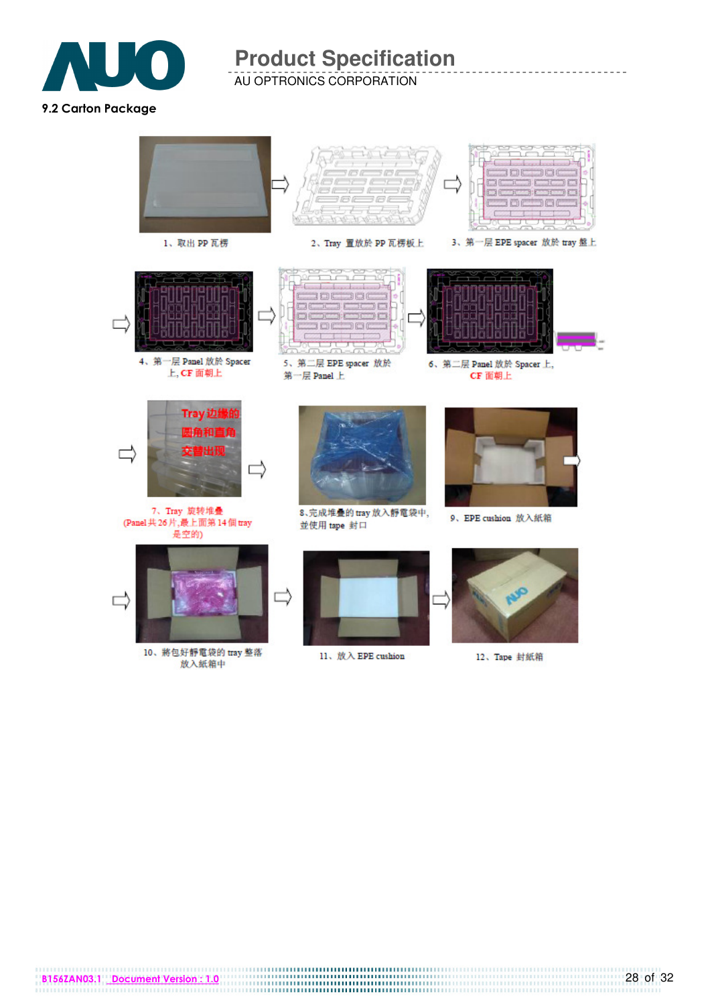

AU OPTRONICS CORPORATION



10、將包好靜電袋的 tray 整落 放入紙箱中

11、放入 EPE cushion

12、Tape 封紙箱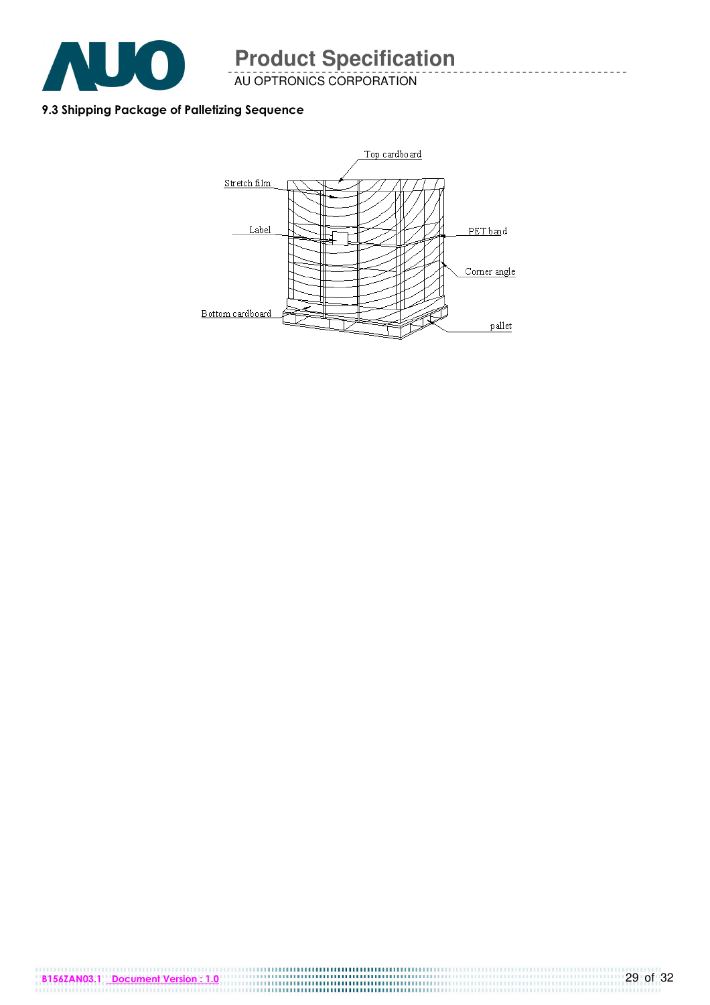

AU OPTRONICS CORPORATION

#### 9.3 Shipping Package of Palletizing Sequence

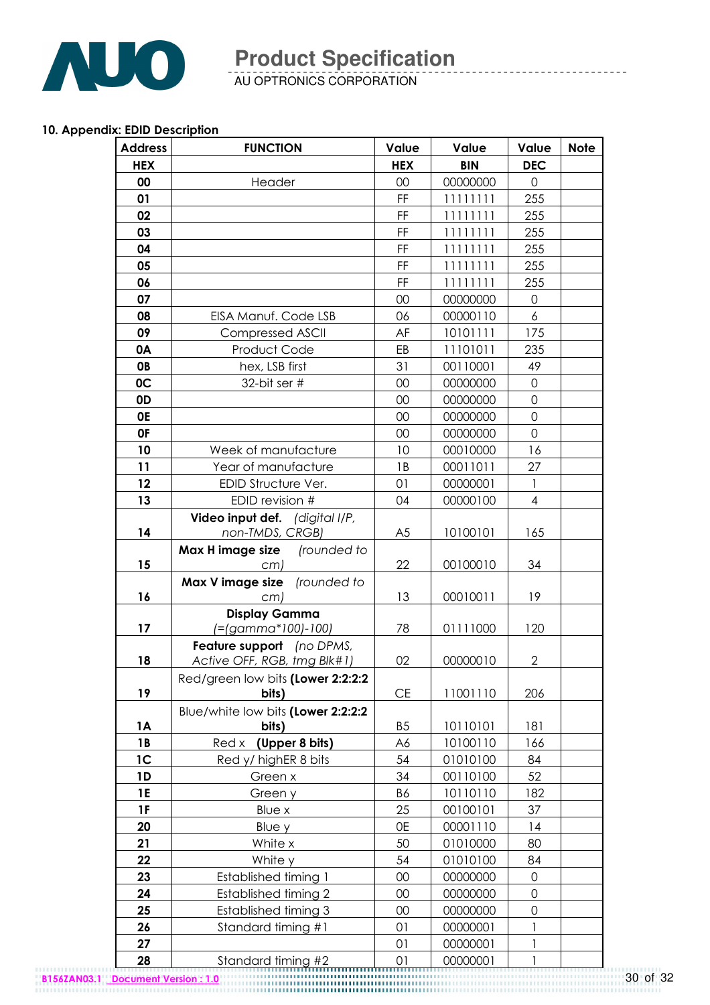

AU OPTRONICS CORPORATION

#### 10. Appendix: EDID Description

| <b>Address</b> | <b>FUNCTION</b>                                          | Value          | Value      | Value                    | <b>Note</b> |
|----------------|----------------------------------------------------------|----------------|------------|--------------------------|-------------|
| <b>HEX</b>     |                                                          | <b>HEX</b>     | <b>BIN</b> | <b>DEC</b>               |             |
| 00             | Header                                                   | 00             | 00000000   | $\mathsf{O}$             |             |
| 01             |                                                          | FF             | 11111111   | 255                      |             |
| 02             |                                                          | FF             | 11111111   | 255                      |             |
| 03             |                                                          | FF             | 11111111   | 255                      |             |
| 04             |                                                          | FF             | 11111111   | 255                      |             |
| 05             |                                                          | FF             | 11111111   | 255                      |             |
| 06             |                                                          | FF             | 11111111   | 255                      |             |
| 07             |                                                          | 00             | 00000000   | 0                        |             |
| 08             | EISA Manuf. Code LSB                                     | 06             | 00000110   | 6                        |             |
| 09             | <b>Compressed ASCII</b>                                  | AF             | 10101111   | 175                      |             |
| 0A             | Product Code                                             | EB             | 11101011   | 235                      |             |
| <b>OB</b>      | hex, LSB first                                           | 31             | 00110001   | 49                       |             |
| 0C             | 32-bit ser #                                             | 00             | 00000000   | 0                        |             |
| 0D             |                                                          | 00             | 00000000   | 0                        |             |
| 0E             |                                                          | 00             | 00000000   | 0                        |             |
| 0F             |                                                          | 00             | 00000000   | $\mathbf 0$              |             |
| 10             | Week of manufacture                                      | 10             | 00010000   | 16                       |             |
| 11             | Year of manufacture                                      | 1B             | 00011011   | 27                       |             |
| 12             | EDID Structure Ver.                                      | 01             | 00000001   | $\mathbf{1}$             |             |
| 13             | EDID revision #                                          | 04             | 00000100   | $\overline{\mathcal{A}}$ |             |
| 14             | Video input def. (digital I/P,<br>non-TMDS, CRGB)        | A <sub>5</sub> | 10100101   | 165                      |             |
|                | (rounded to<br>Max H image size                          |                |            |                          |             |
| 15             | cm)                                                      | 22             | 00100010   | 34                       |             |
|                | Max V image size (rounded to                             |                |            |                          |             |
| 16             | cm)                                                      | 13             | 00010011   | 19                       |             |
|                | <b>Display Gamma</b>                                     |                |            |                          |             |
| 17             | (=(gamma*100)-100)                                       | 78             | 01111000   | 120                      |             |
| 18             | Feature support (no DPMS,<br>Active OFF, RGB, tmg Blk#1) | 02             | 00000010   | $\overline{2}$           |             |
|                | Red/green low bits (Lower 2:2:2:2                        |                |            |                          |             |
| 19             | bits)                                                    | <b>CE</b>      | 11001110   | 206                      |             |
| 1A             | Blue/white low bits (Lower 2:2:2:2<br>bits)              | B <sub>5</sub> | 10110101   | 181                      |             |
| 1B             | (Upper 8 bits)<br>Red x                                  | A6             | 10100110   | 166                      |             |
| 1 <sup>C</sup> | Red y/ highER 8 bits                                     | 54             | 01010100   | 84                       |             |
| 1D             | Green x                                                  | 34             | 00110100   | 52                       |             |
| <b>1E</b>      | Green y                                                  | <b>B6</b>      | 10110110   | 182                      |             |
| 1F             | Blue x                                                   | 25             | 00100101   | 37                       |             |
| 20             | Blue y                                                   | 0E             | 00001110   | 14                       |             |
| 21             | White x                                                  | 50             | 01010000   | 80                       |             |
| 22             | White y                                                  | 54             | 01010100   | 84                       |             |
| 23             | <b>Established timing 1</b>                              | $00\,$         | 00000000   | 0                        |             |
| 24             | <b>Established timing 2</b>                              | 00             | 00000000   | 0                        |             |
| 25             | <b>Established timing 3</b>                              | 00             | 00000000   | 0                        |             |
| 26             | Standard timing #1                                       | 01             | 00000001   | 1                        |             |
| 27             |                                                          | 01             | 00000001   | 1                        |             |
| 28             | Standard timing #2                                       | 01             | 00000001   | 1                        |             |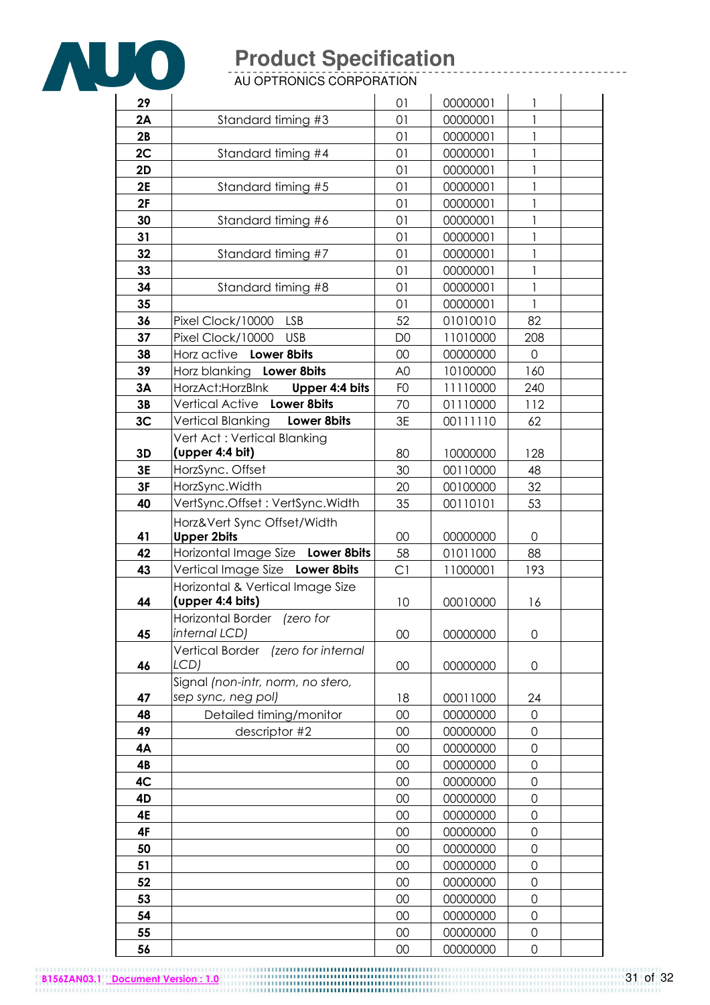

AU OPTRONICS CORPORATION

| 29 |                                            | 01             | 00000001 | 1                   |  |
|----|--------------------------------------------|----------------|----------|---------------------|--|
| 2A | Standard timing #3                         | 01             | 00000001 | 1                   |  |
| 2B |                                            | 01             | 00000001 | 1                   |  |
| 2C | Standard timing #4                         | 01             | 00000001 | 1                   |  |
| 2D |                                            | 01             | 00000001 | $\mathbf{1}$        |  |
| 2E | Standard timing #5                         | 01             | 00000001 | 1                   |  |
| 2F |                                            | 01             | 00000001 | 1                   |  |
| 30 | Standard timing #6                         | 01             | 00000001 | $\mathbf{1}$        |  |
| 31 |                                            | 01             | 00000001 | 1                   |  |
| 32 | Standard timing #7                         | 01             | 00000001 | 1                   |  |
| 33 |                                            | 01             | 00000001 | $\mathbf{I}$        |  |
| 34 | Standard timing #8                         | 01             | 00000001 | $\mathbf{1}$        |  |
| 35 |                                            | 01             | 00000001 | 1                   |  |
| 36 | Pixel Clock/10000<br>LSB                   | 52             | 01010010 | 82                  |  |
| 37 | <b>USB</b><br>Pixel Clock/10000            | D <sub>0</sub> | 11010000 | 208                 |  |
| 38 | Horz active Lower 8bits                    | 00             | 00000000 | 0                   |  |
| 39 | Horz blanking Lower 8bits                  | A <sub>0</sub> | 10100000 | 160                 |  |
| 3A | HorzAct:HorzBlnk<br>Upper 4:4 bits         | F <sub>O</sub> | 11110000 | 240                 |  |
| 3B | Vertical Active Lower 8bits                | 70             | 01110000 | 112                 |  |
| 3C | Vertical Blanking Lower 8bits              | 3E             | 00111110 | 62                  |  |
|    | Vert Act: Vertical Blanking                |                |          |                     |  |
| 3D | (upper 4:4 bit)                            | 80             | 10000000 | 128                 |  |
| 3E | HorzSync. Offset                           | 30             | 00110000 | 48                  |  |
| 3F | HorzSync.Width                             | 20             | 00100000 | 32                  |  |
| 40 | VertSync.Offset: VertSync.Width            | 35             | 00110101 | 53                  |  |
|    | Horz‖ Sync Offset/Width                    |                |          |                     |  |
| 41 | <b>Upper 2bits</b>                         | 00             | 00000000 | 0                   |  |
| 42 | Horizontal Image Size Lower 8bits          | 58             | 01011000 | 88                  |  |
| 43 | Vertical Image Size Lower 8bits            | C1             | 11000001 | 193                 |  |
|    | Horizontal & Vertical Image Size           |                |          |                     |  |
| 44 | (upper 4:4 bits)                           | 10             | 00010000 | 16                  |  |
|    | Horizontal Border (zero for                |                |          |                     |  |
| 45 | internal LCD)                              | 00             | 00000000 | 0                   |  |
| 46 | Vertical Border (zero for internal<br>LCD) | 00             | 00000000 | $\mathsf{O}\xspace$ |  |
|    | Signal (non-intr, norm, no stero,          |                |          |                     |  |
| 47 | sep sync, neg pol)                         | 18             | 00011000 | 24                  |  |
| 48 | Detailed timing/monitor                    | 00             | 00000000 | $\Omega$            |  |
| 49 | descriptor #2                              | 00             | 00000000 | $\mathbf 0$         |  |
| 4Α |                                            | 00             | 00000000 | 0                   |  |
| 4B |                                            | 00             | 00000000 | $\mathbf 0$         |  |
| 4C |                                            | 00             | 00000000 | $\mathbf 0$         |  |
| 4D |                                            | 00             | 00000000 | 0                   |  |
| 4E |                                            | 00             | 00000000 | 0                   |  |
| 4F |                                            | 00             | 00000000 | $\mathbf 0$         |  |
| 50 |                                            | 00             | 00000000 | 0                   |  |
| 51 |                                            | 00             | 00000000 | $\mathbf 0$         |  |
| 52 |                                            | 00             | 00000000 | $\mathbf 0$         |  |
| 53 |                                            | 00             | 00000000 | 0                   |  |
| 54 |                                            | 00             | 00000000 | $\mathbf 0$         |  |
| 55 |                                            | 00             | 00000000 | 0                   |  |
| 56 |                                            | 00             | 00000000 | $\mathbf 0$         |  |

B156ZAN03.1 Document Version : 1.0 32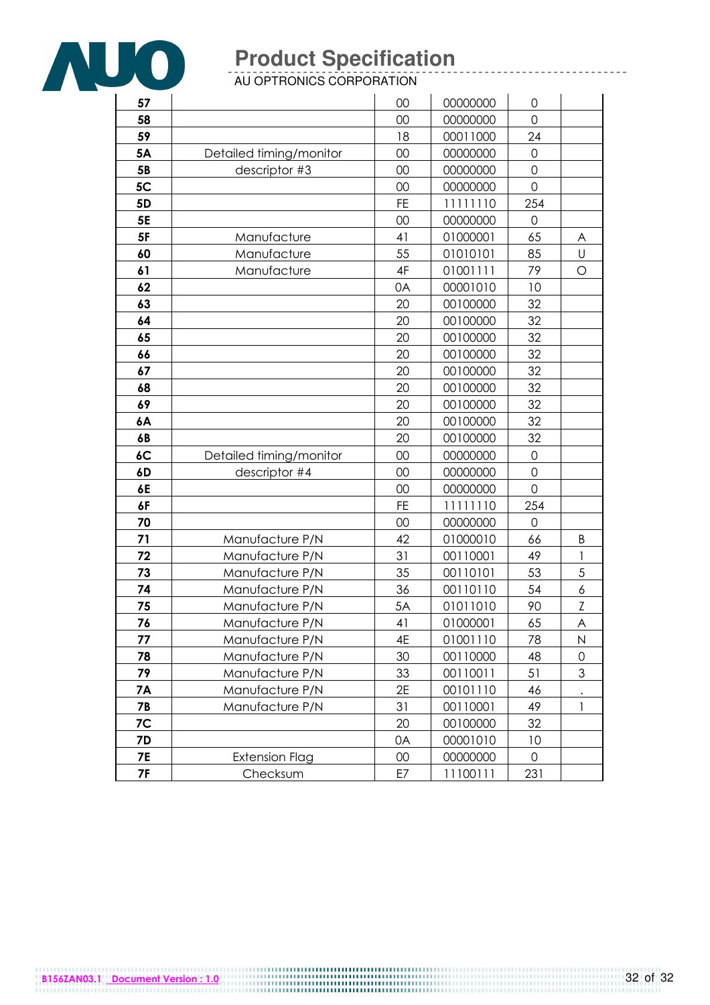

AU OPTRONICS CORPORATION

| 57             |                         | 00        | 00000000 | $\mathbf 0$         |              |
|----------------|-------------------------|-----------|----------|---------------------|--------------|
| 58             |                         | 00        | 00000000 | $\Omega$            |              |
| 59             |                         | 18        | 00011000 | 24                  |              |
| 5A             | Detailed timing/monitor | 00        | 00000000 | $\mathbf 0$         |              |
| 5B             | descriptor #3           | 00        | 00000000 | $\mathbf 0$         |              |
| 5C             |                         | 00        | 00000000 | $\mathbf 0$         |              |
| 5 <sub>D</sub> |                         | <b>FE</b> | 11111110 | 254                 |              |
| 5E             |                         | 00        | 00000000 | 0                   |              |
| 5F             | Manufacture             | 41        | 01000001 | 65                  | A            |
| 60             | Manufacture             | 55        | 01010101 | 85                  | U            |
| 61             | Manufacture             | 4F        | 01001111 | 79                  | $\circ$      |
| 62             |                         | 0A        | 00001010 | 10                  |              |
| 63             |                         | 20        | 00100000 | 32                  |              |
| 64             |                         | 20        | 00100000 | 32                  |              |
| 65             |                         | 20        | 00100000 | 32                  |              |
| 66             |                         | 20        | 00100000 | 32                  |              |
| 67             |                         | 20        | 00100000 | 32                  |              |
| 68             |                         | 20        | 00100000 | 32                  |              |
| 69             |                         | 20        | 00100000 | 32                  |              |
| 6A             |                         | 20        | 00100000 | 32                  |              |
| 6B             |                         | 20        | 00100000 | 32                  |              |
| 6C             | Detailed timing/monitor | 00        | 00000000 | $\mathsf{O}\xspace$ |              |
| 6D             | descriptor #4           | 00        | 00000000 | $\mathbf 0$         |              |
| 6E             |                         | 00        | 00000000 | $\mathbf 0$         |              |
| 6F             |                         | FE        | 11111110 | 254                 |              |
| 70             |                         | 00        | 00000000 | $\Omega$            |              |
| 71             | Manufacture P/N         | 42        | 01000010 | 66                  | Β            |
| 72             | Manufacture P/N         | 31        | 00110001 | 49                  | $\mathbf{1}$ |
| 73             | Manufacture P/N         | 35        | 00110101 | 53                  | 5            |
| 74             | Manufacture P/N         | 36        | 00110110 | 54                  | 6            |
| 75             | Manufacture P/N         | 5A        | 01011010 | 90                  | Z            |
| 76             | Manufacture P/N         | 41        | 01000001 | 65                  | A            |
| 77             | Manufacture P/N         | 4E        | 01001110 | 78                  | $\mathsf{N}$ |
| 78             | Manufacture P/N         | 30        | 00110000 | 48                  | $\Omega$     |
| 79             | Manufacture P/N         | 33        | 00110011 | 51                  | 3            |
| 7A             | Manufacture P/N         | 2E        | 00101110 | 46                  |              |
| <b>7B</b>      | Manufacture P/N         | 31        | 00110001 | 49                  | 1            |
| 7C             |                         | 20        | 00100000 | 32                  |              |
| 7D             |                         | 0A        | 00001010 | 10                  |              |
| <b>7E</b>      | <b>Extension Flag</b>   | $00\,$    | 00000000 | 0                   |              |
| <b>7F</b>      | Checksum                | E7        | 11100111 | 231                 |              |